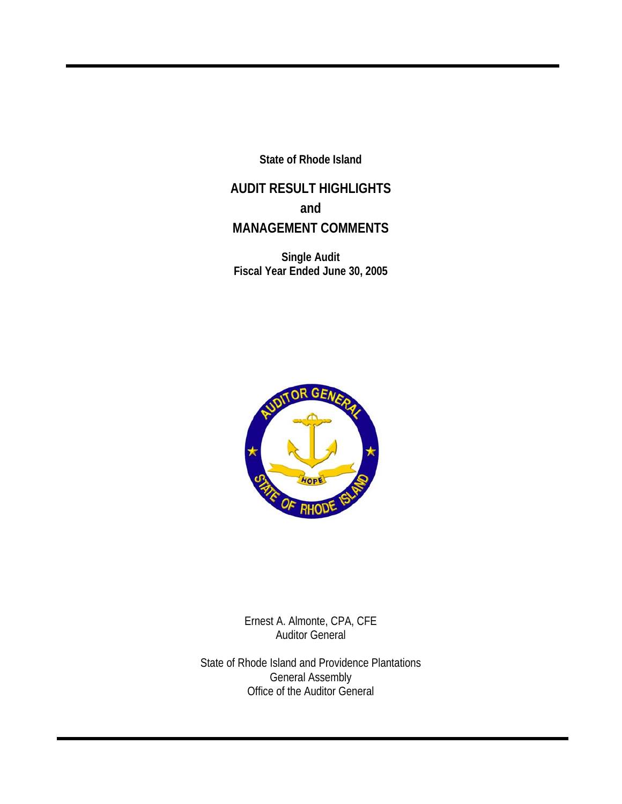**State of Rhode Island** 

**AUDIT RESULT HIGHLIGHTS and MANAGEMENT COMMENTS** 

**Single Audit Fiscal Year Ended June 30, 2005** 



Ernest A. Almonte, CPA, CFE Auditor General

State of Rhode Island and Providence Plantations General Assembly Office of the Auditor General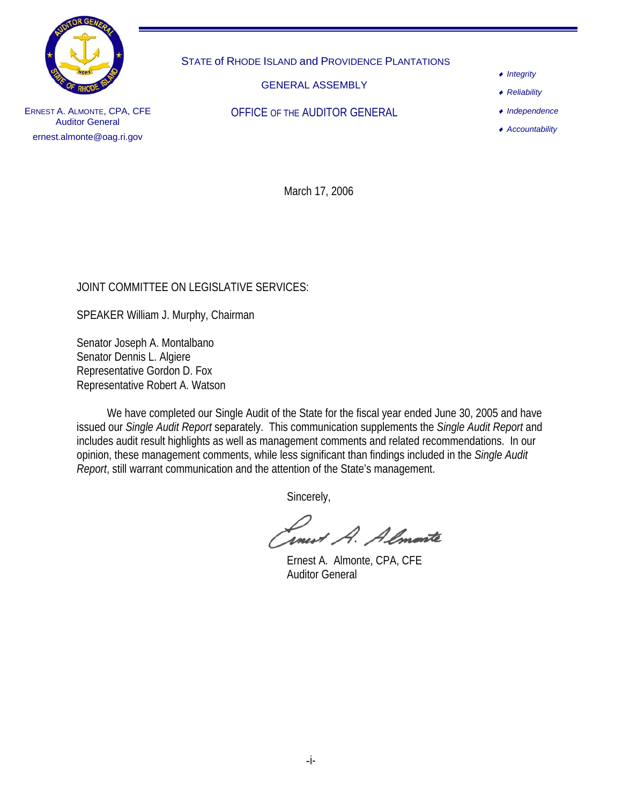

STATE of RHODE ISLAND and PROVIDENCE PLANTATIONS

GENERAL ASSEMBLY

OFFICE OF THE AUDITOR GENERAL

♦ *Integrity*

♦ *Reliability*

♦ *Independence*

♦ *Accountability*

ERNEST A. ALMONTE, CPA, CFE Auditor General ernest.almonte@oag.ri.gov

March 17, 2006

## JOINT COMMITTEE ON LEGISLATIVE SERVICES:

SPEAKER William J. Murphy, Chairman

Senator Joseph A. Montalbano Senator Dennis L. Algiere Representative Gordon D. Fox Representative Robert A. Watson

 We have completed our Single Audit of the State for the fiscal year ended June 30, 2005 and have issued our *Single Audit Report* separately. This communication supplements the *Single Audit Report* and includes audit result highlights as well as management comments and related recommendations. In our opinion, these management comments, while less significant than findings included in the *Single Audit Report*, still warrant communication and the attention of the State's management.

Sincerely,

rnevt A. Almonte

Ernest A. Almonte, CPA, CFE Auditor General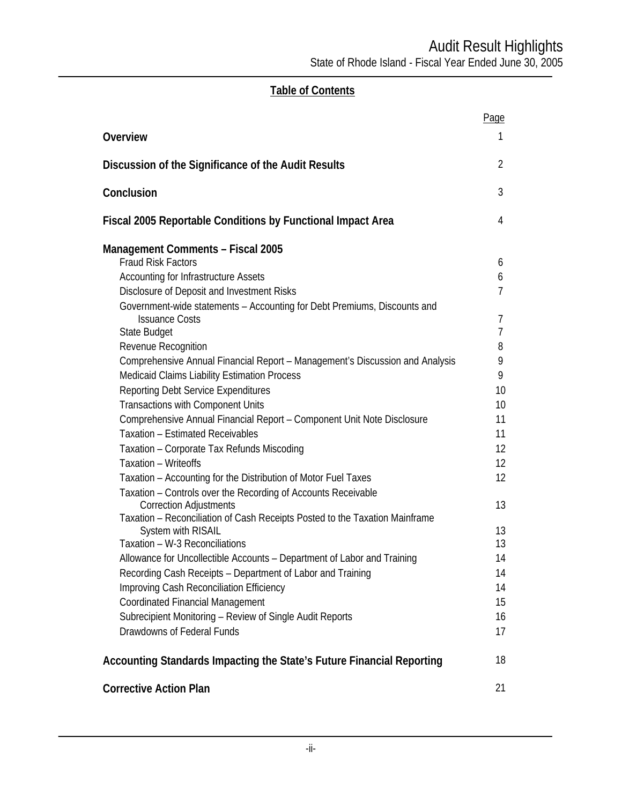# **Table of Contents**

|                                                                                                                                 | Page                    |
|---------------------------------------------------------------------------------------------------------------------------------|-------------------------|
| Overview                                                                                                                        | 1                       |
| Discussion of the Significance of the Audit Results                                                                             | 2                       |
| Conclusion                                                                                                                      | 3                       |
| Fiscal 2005 Reportable Conditions by Functional Impact Area                                                                     | 4                       |
| <b>Management Comments - Fiscal 2005</b><br><b>Fraud Risk Factors</b>                                                           |                         |
|                                                                                                                                 | 6                       |
| <b>Accounting for Infrastructure Assets</b><br>Disclosure of Deposit and Investment Risks                                       | 6<br>7                  |
| Government-wide statements - Accounting for Debt Premiums, Discounts and                                                        |                         |
| <b>Issuance Costs</b>                                                                                                           | 7                       |
| State Budget                                                                                                                    | $\overline{7}$          |
| Revenue Recognition                                                                                                             | 8                       |
| Comprehensive Annual Financial Report - Management's Discussion and Analysis                                                    | 9                       |
| <b>Medicaid Claims Liability Estimation Process</b>                                                                             | 9                       |
| Reporting Debt Service Expenditures                                                                                             | 10                      |
| <b>Transactions with Component Units</b>                                                                                        | 10                      |
| Comprehensive Annual Financial Report - Component Unit Note Disclosure                                                          | 11                      |
| <b>Taxation - Estimated Receivables</b>                                                                                         | 11                      |
| Taxation - Corporate Tax Refunds Miscoding<br>Taxation - Writeoffs                                                              | $12 \overline{ }$<br>12 |
|                                                                                                                                 | 12                      |
| Taxation - Accounting for the Distribution of Motor Fuel Taxes<br>Taxation - Controls over the Recording of Accounts Receivable |                         |
| <b>Correction Adjustments</b>                                                                                                   | 13                      |
| Taxation - Reconciliation of Cash Receipts Posted to the Taxation Mainframe                                                     |                         |
| System with RISAIL                                                                                                              | 13                      |
| Taxation - W-3 Reconciliations                                                                                                  | 13                      |
| Allowance for Uncollectible Accounts - Department of Labor and Training                                                         | 14                      |
| Recording Cash Receipts - Department of Labor and Training                                                                      | 14                      |
| Improving Cash Reconciliation Efficiency                                                                                        | 14                      |
| <b>Coordinated Financial Management</b><br>Subrecipient Monitoring - Review of Single Audit Reports                             | 15<br>16                |
| Drawdowns of Federal Funds                                                                                                      | 17                      |
|                                                                                                                                 |                         |
| Accounting Standards Impacting the State's Future Financial Reporting                                                           | 18                      |
| <b>Corrective Action Plan</b>                                                                                                   | 21                      |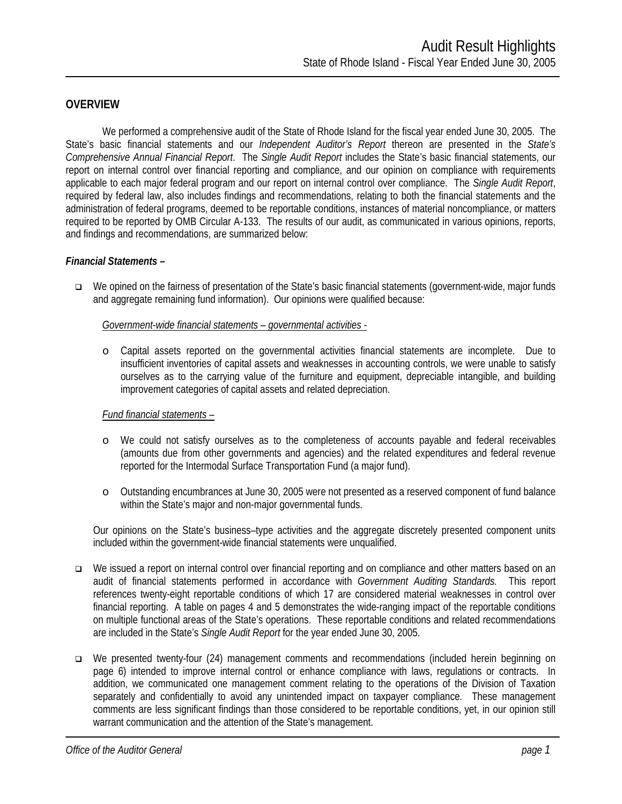#### **OVERVIEW**

We performed a comprehensive audit of the State of Rhode Island for the fiscal year ended June 30, 2005. The State's basic financial statements and our *Independent Auditor's Report* thereon are presented in the *State's Comprehensive Annual Financial Report*. The *Single Audit Report* includes the State's basic financial statements, our report on internal control over financial reporting and compliance, and our opinion on compliance with requirements applicable to each major federal program and our report on internal control over compliance. The *Single Audit Report*, required by federal law, also includes findings and recommendations, relating to both the financial statements and the administration of federal programs, deemed to be reportable conditions, instances of material noncompliance, or matters required to be reported by OMB Circular A-133. The results of our audit, as communicated in various opinions, reports, and findings and recommendations, are summarized below:

#### *Financial Statements –*

 We opined on the fairness of presentation of the State's basic financial statements (government-wide, major funds and aggregate remaining fund information). Our opinions were qualified because:

*Government-wide financial statements – governmental activities -* 

o Capital assets reported on the governmental activities financial statements are incomplete. Due to insufficient inventories of capital assets and weaknesses in accounting controls, we were unable to satisfy ourselves as to the carrying value of the furniture and equipment, depreciable intangible, and building improvement categories of capital assets and related depreciation.

#### *Fund financial statements –*

- o We could not satisfy ourselves as to the completeness of accounts payable and federal receivables (amounts due from other governments and agencies) and the related expenditures and federal revenue reported for the Intermodal Surface Transportation Fund (a major fund).
- o Outstanding encumbrances at June 30, 2005 were not presented as a reserved component of fund balance within the State's major and non-major governmental funds.

Our opinions on the State's business–type activities and the aggregate discretely presented component units included within the government-wide financial statements were unqualified.

- □ We issued a report on internal control over financial reporting and on compliance and other matters based on an audit of financial statements performed in accordance with *Government Auditing Standards.* This report references twenty-eight reportable conditions of which 17 are considered material weaknesses in control over financial reporting. A table on pages 4 and 5 demonstrates the wide-ranging impact of the reportable conditions on multiple functional areas of the State's operations. These reportable conditions and related recommendations are included in the State's *Single Audit Report* for the year ended June 30, 2005.
- We presented twenty-four (24) management comments and recommendations (included herein beginning on page 6) intended to improve internal control or enhance compliance with laws, regulations or contracts. In addition, we communicated one management comment relating to the operations of the Division of Taxation separately and confidentially to avoid any unintended impact on taxpayer compliance. These management comments are less significant findings than those considered to be reportable conditions, yet, in our opinion still warrant communication and the attention of the State's management.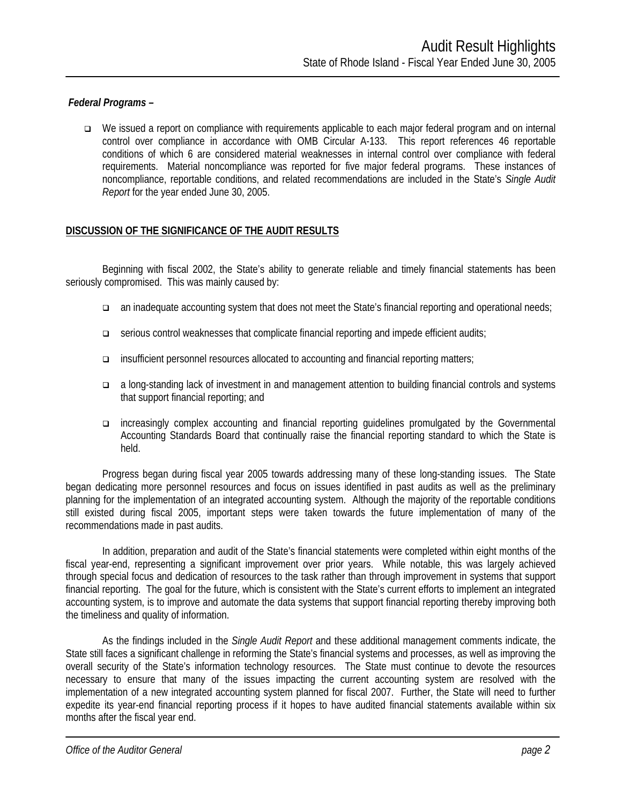#### *Federal Programs –*

 We issued a report on compliance with requirements applicable to each major federal program and on internal control over compliance in accordance with OMB Circular A-133. This report references 46 reportable conditions of which 6 are considered material weaknesses in internal control over compliance with federal requirements. Material noncompliance was reported for five major federal programs. These instances of noncompliance, reportable conditions, and related recommendations are included in the State's *Single Audit Report* for the year ended June 30, 2005.

#### **DISCUSSION OF THE SIGNIFICANCE OF THE AUDIT RESULTS**

Beginning with fiscal 2002, the State's ability to generate reliable and timely financial statements has been seriously compromised. This was mainly caused by:

- an inadequate accounting system that does not meet the State's financial reporting and operational needs;
- serious control weaknesses that complicate financial reporting and impede efficient audits;
- insufficient personnel resources allocated to accounting and financial reporting matters;
- a long-standing lack of investment in and management attention to building financial controls and systems that support financial reporting; and
- increasingly complex accounting and financial reporting guidelines promulgated by the Governmental Accounting Standards Board that continually raise the financial reporting standard to which the State is held.

Progress began during fiscal year 2005 towards addressing many of these long-standing issues. The State began dedicating more personnel resources and focus on issues identified in past audits as well as the preliminary planning for the implementation of an integrated accounting system. Although the majority of the reportable conditions still existed during fiscal 2005, important steps were taken towards the future implementation of many of the recommendations made in past audits.

In addition, preparation and audit of the State's financial statements were completed within eight months of the fiscal year-end, representing a significant improvement over prior years. While notable, this was largely achieved through special focus and dedication of resources to the task rather than through improvement in systems that support financial reporting. The goal for the future, which is consistent with the State's current efforts to implement an integrated accounting system, is to improve and automate the data systems that support financial reporting thereby improving both the timeliness and quality of information.

As the findings included in the *Single Audit Report* and these additional management comments indicate, the State still faces a significant challenge in reforming the State's financial systems and processes, as well as improving the overall security of the State's information technology resources. The State must continue to devote the resources necessary to ensure that many of the issues impacting the current accounting system are resolved with the implementation of a new integrated accounting system planned for fiscal 2007. Further, the State will need to further expedite its year-end financial reporting process if it hopes to have audited financial statements available within six months after the fiscal year end.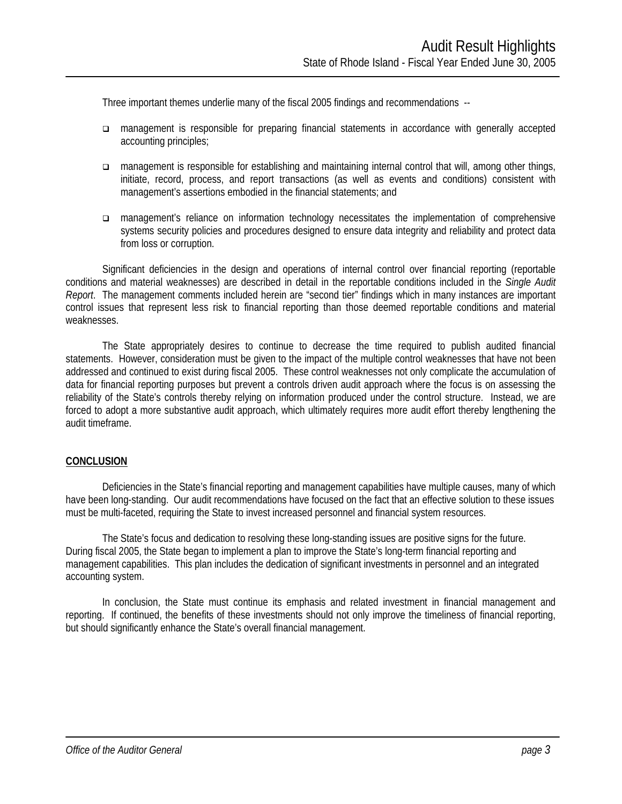Three important themes underlie many of the fiscal 2005 findings and recommendations --

- management is responsible for preparing financial statements in accordance with generally accepted accounting principles;
- management is responsible for establishing and maintaining internal control that will, among other things, initiate, record, process, and report transactions (as well as events and conditions) consistent with management's assertions embodied in the financial statements; and
- management's reliance on information technology necessitates the implementation of comprehensive systems security policies and procedures designed to ensure data integrity and reliability and protect data from loss or corruption.

Significant deficiencies in the design and operations of internal control over financial reporting (reportable conditions and material weaknesses) are described in detail in the reportable conditions included in the *Single Audit Report*. The management comments included herein are "second tier" findings which in many instances are important control issues that represent less risk to financial reporting than those deemed reportable conditions and material weaknesses.

The State appropriately desires to continue to decrease the time required to publish audited financial statements. However, consideration must be given to the impact of the multiple control weaknesses that have not been addressed and continued to exist during fiscal 2005. These control weaknesses not only complicate the accumulation of data for financial reporting purposes but prevent a controls driven audit approach where the focus is on assessing the reliability of the State's controls thereby relying on information produced under the control structure. Instead, we are forced to adopt a more substantive audit approach, which ultimately requires more audit effort thereby lengthening the audit timeframe.

#### **CONCLUSION**

Deficiencies in the State's financial reporting and management capabilities have multiple causes, many of which have been long-standing. Our audit recommendations have focused on the fact that an effective solution to these issues must be multi-faceted, requiring the State to invest increased personnel and financial system resources.

The State's focus and dedication to resolving these long-standing issues are positive signs for the future. During fiscal 2005, the State began to implement a plan to improve the State's long-term financial reporting and management capabilities. This plan includes the dedication of significant investments in personnel and an integrated accounting system.

In conclusion, the State must continue its emphasis and related investment in financial management and reporting. If continued, the benefits of these investments should not only improve the timeliness of financial reporting, but should significantly enhance the State's overall financial management.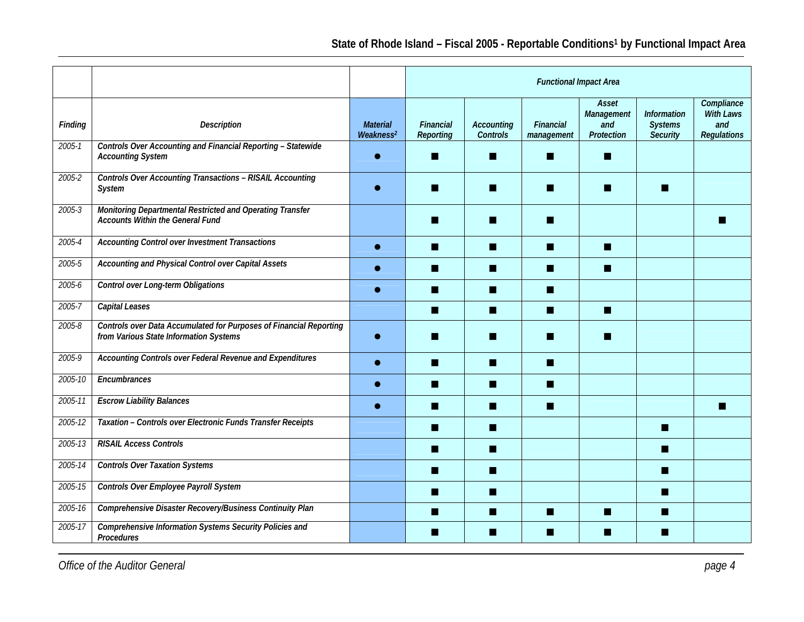|            |                                                                                                              |                                          | <b>Functional Impact Area</b>        |                               |                         |                                          |                                                         |                                                             |  |  |
|------------|--------------------------------------------------------------------------------------------------------------|------------------------------------------|--------------------------------------|-------------------------------|-------------------------|------------------------------------------|---------------------------------------------------------|-------------------------------------------------------------|--|--|
| Finding    | <b>Description</b>                                                                                           | <b>Material</b><br>Weakness <sup>2</sup> | <b>Financial</b><br><b>Reporting</b> | <b>Accounting</b><br>Controls | Financial<br>management | Asset<br>Management<br>and<br>Protection | <b>Information</b><br><b>Systems</b><br><b>Security</b> | Compliance<br><b>With Laws</b><br>and<br><b>Regulations</b> |  |  |
| $2005 - 1$ | Controls Over Accounting and Financial Reporting - Statewide<br><b>Accounting System</b>                     |                                          |                                      |                               |                         | ш                                        |                                                         |                                                             |  |  |
| $2005 - 2$ | <b>Controls Over Accounting Transactions - RISAIL Accounting</b><br>System                                   |                                          |                                      |                               |                         |                                          |                                                         |                                                             |  |  |
| $2005 - 3$ | Monitoring Departmental Restricted and Operating Transfer<br><b>Accounts Within the General Fund</b>         |                                          |                                      |                               |                         |                                          |                                                         |                                                             |  |  |
| 2005-4     | Accounting Control over Investment Transactions                                                              |                                          | ш                                    | ш                             | H.                      | ш                                        |                                                         |                                                             |  |  |
| 2005-5     | Accounting and Physical Control over Capital Assets                                                          |                                          | ٠                                    | H                             | ш                       | П                                        |                                                         |                                                             |  |  |
| $2005 - 6$ | Control over Long-term Obligations                                                                           |                                          | ш                                    | ш                             | m                       |                                          |                                                         |                                                             |  |  |
| 2005-7     | Capital Leases                                                                                               |                                          | П                                    | <b>Ta</b>                     | m.                      | П                                        |                                                         |                                                             |  |  |
| $2005 - 8$ | Controls over Data Accumulated for Purposes of Financial Reporting<br>from Various State Information Systems |                                          |                                      |                               |                         |                                          |                                                         |                                                             |  |  |
| 2005-9     | Accounting Controls over Federal Revenue and Expenditures                                                    |                                          |                                      | H                             | m                       |                                          |                                                         |                                                             |  |  |
| 2005-10    | Encumbrances                                                                                                 |                                          | ٠                                    | ■                             | ш                       |                                          |                                                         |                                                             |  |  |
| 2005-11    | <b>Escrow Liability Balances</b>                                                                             |                                          | ш                                    | ш                             | m                       |                                          |                                                         |                                                             |  |  |
| 2005-12    | Taxation - Controls over Electronic Funds Transfer Receipts                                                  |                                          | ш                                    | ш                             |                         |                                          | ш                                                       |                                                             |  |  |
| 2005-13    | <b>RISAIL Access Controls</b>                                                                                |                                          | ٠                                    | H                             |                         |                                          | ш                                                       |                                                             |  |  |
| 2005-14    | <b>Controls Over Taxation Systems</b>                                                                        |                                          | ▄                                    | H                             |                         |                                          | a s                                                     |                                                             |  |  |
| 2005-15    | Controls Over Employee Payroll System                                                                        |                                          | ш                                    | ш                             |                         |                                          | ш                                                       |                                                             |  |  |
| 2005-16    | Comprehensive Disaster Recovery/Business Continuity Plan                                                     |                                          | ▄                                    | ■                             |                         | ш                                        | n.                                                      |                                                             |  |  |
| 2005-17    | Comprehensive Information Systems Security Policies and<br>Procedures                                        |                                          | ٠                                    | ■                             | ш                       | ш                                        |                                                         |                                                             |  |  |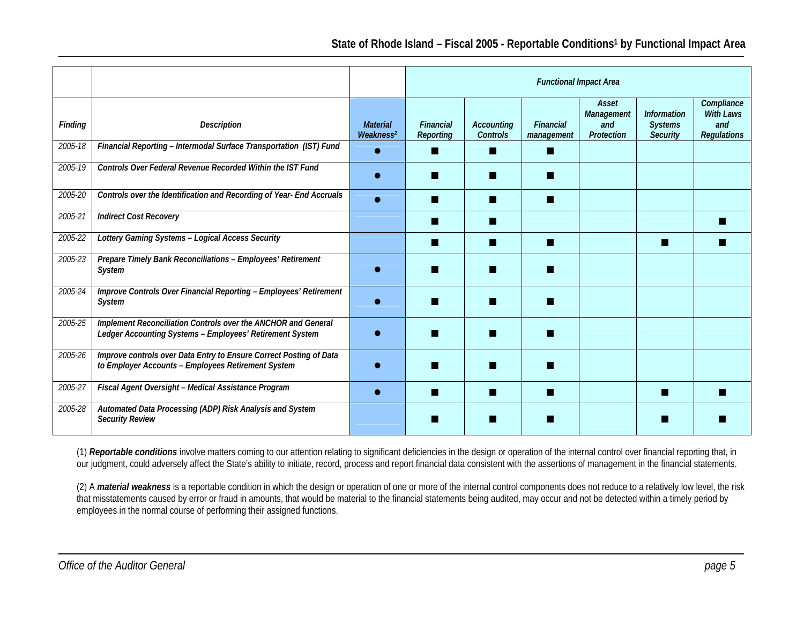|                |                                                                                                                           |                                          | <b>Functional Impact Area</b> |                                      |                         |                                          |                                                         |                                                      |  |  |
|----------------|---------------------------------------------------------------------------------------------------------------------------|------------------------------------------|-------------------------------|--------------------------------------|-------------------------|------------------------------------------|---------------------------------------------------------|------------------------------------------------------|--|--|
| <b>Finding</b> | <b>Description</b>                                                                                                        | <b>Material</b><br>Weakness <sup>2</sup> | Financial<br>Reporting        | <b>Accounting</b><br><b>Controls</b> | Financial<br>management | Asset<br>Management<br>and<br>Protection | <b>Information</b><br><b>Systems</b><br><b>Security</b> | Compliance<br>With Laws<br>and<br><b>Regulations</b> |  |  |
| 2005-18        | Financial Reporting - Intermodal Surface Transportation (IST) Fund                                                        |                                          |                               | ▅                                    | m                       |                                          |                                                         |                                                      |  |  |
| 2005-19        | Controls Over Federal Revenue Recorded Within the IST Fund                                                                |                                          |                               | ▅                                    | m                       |                                          |                                                         |                                                      |  |  |
| 2005-20        | Controls over the Identification and Recording of Year- End Accruals                                                      |                                          |                               | ш                                    | w                       |                                          |                                                         |                                                      |  |  |
| 2005-21        | <b>Indirect Cost Recovery</b>                                                                                             |                                          |                               | ш                                    |                         |                                          |                                                         |                                                      |  |  |
| 2005-22        | Lottery Gaming Systems - Logical Access Security                                                                          |                                          |                               |                                      | m                       |                                          |                                                         |                                                      |  |  |
| 2005-23        | Prepare Timely Bank Reconciliations - Employees' Retirement<br>System                                                     |                                          |                               |                                      | w                       |                                          |                                                         |                                                      |  |  |
| 2005-24        | Improve Controls Over Financial Reporting - Employees' Retirement<br>System                                               |                                          |                               |                                      |                         |                                          |                                                         |                                                      |  |  |
| 2005-25        | Implement Reconciliation Controls over the ANCHOR and General<br>Ledger Accounting Systems - Employees' Retirement System |                                          |                               |                                      | w                       |                                          |                                                         |                                                      |  |  |
| 2005-26        | Improve controls over Data Entry to Ensure Correct Posting of Data<br>to Employer Accounts - Employees Retirement System  |                                          |                               |                                      |                         |                                          |                                                         |                                                      |  |  |
| 2005-27        | Fiscal Agent Oversight - Medical Assistance Program                                                                       |                                          |                               |                                      | m                       |                                          |                                                         |                                                      |  |  |
| 2005-28        | Automated Data Processing (ADP) Risk Analysis and System<br><b>Security Review</b>                                        |                                          |                               |                                      |                         |                                          |                                                         |                                                      |  |  |

(1) *Reportable conditions* involve matters coming to our attention relating to significant deficiencies in the design or operation of the internal control over financial reporting that, in our judgment, could adversely affect the State's ability to initiate, record, process and report financial data consistent with the assertions of management in the financial statements.

(2) A *material weakness* is a reportable condition in which the design or operation of one or more of the internal control components does not reduce to a relatively low level, the risk that misstatements caused by error or fraud in amounts, that would be material to the financial statements being audited, may occur and not be detected within a timely period by employees in the normal course of performing their assigned functions.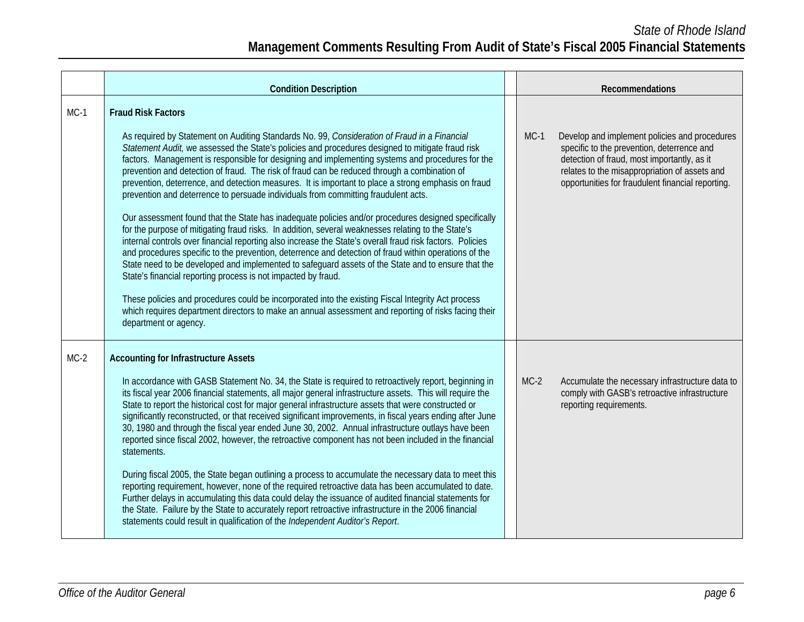|        | <b>Condition Description</b>                                                                                                                                                                                                                                                                                                                                                                                                                                                                                                                                                                                                                                                                                                                                                                                                                                                                                                                                                                                                                                                                                                                                                                                                                                                                                                                                                                                                                                                    |        | Recommendations                                                                                                                                                                                                                                  |
|--------|---------------------------------------------------------------------------------------------------------------------------------------------------------------------------------------------------------------------------------------------------------------------------------------------------------------------------------------------------------------------------------------------------------------------------------------------------------------------------------------------------------------------------------------------------------------------------------------------------------------------------------------------------------------------------------------------------------------------------------------------------------------------------------------------------------------------------------------------------------------------------------------------------------------------------------------------------------------------------------------------------------------------------------------------------------------------------------------------------------------------------------------------------------------------------------------------------------------------------------------------------------------------------------------------------------------------------------------------------------------------------------------------------------------------------------------------------------------------------------|--------|--------------------------------------------------------------------------------------------------------------------------------------------------------------------------------------------------------------------------------------------------|
| $MC-1$ | <b>Fraud Risk Factors</b><br>As required by Statement on Auditing Standards No. 99, Consideration of Fraud in a Financial<br>Statement Audit, we assessed the State's policies and procedures designed to mitigate fraud risk<br>factors. Management is responsible for designing and implementing systems and procedures for the<br>prevention and detection of fraud. The risk of fraud can be reduced through a combination of<br>prevention, deterrence, and detection measures. It is important to place a strong emphasis on fraud<br>prevention and deterrence to persuade individuals from committing fraudulent acts.<br>Our assessment found that the State has inadequate policies and/or procedures designed specifically<br>for the purpose of mitigating fraud risks. In addition, several weaknesses relating to the State's<br>internal controls over financial reporting also increase the State's overall fraud risk factors. Policies<br>and procedures specific to the prevention, deterrence and detection of fraud within operations of the<br>State need to be developed and implemented to safeguard assets of the State and to ensure that the<br>State's financial reporting process is not impacted by fraud.<br>These policies and procedures could be incorporated into the existing Fiscal Integrity Act process<br>which requires department directors to make an annual assessment and reporting of risks facing their<br>department or agency. | $MC-1$ | Develop and implement policies and procedures<br>specific to the prevention, deterrence and<br>detection of fraud, most importantly, as it<br>relates to the misappropriation of assets and<br>opportunities for fraudulent financial reporting. |
| $MC-2$ | <b>Accounting for Infrastructure Assets</b><br>In accordance with GASB Statement No. 34, the State is required to retroactively report, beginning in<br>its fiscal year 2006 financial statements, all major general infrastructure assets. This will require the<br>State to report the historical cost for major general infrastructure assets that were constructed or<br>significantly reconstructed, or that received significant improvements, in fiscal years ending after June<br>30, 1980 and through the fiscal year ended June 30, 2002. Annual infrastructure outlays have been<br>reported since fiscal 2002, however, the retroactive component has not been included in the financial<br>statements.<br>During fiscal 2005, the State began outlining a process to accumulate the necessary data to meet this<br>reporting requirement, however, none of the required retroactive data has been accumulated to date.<br>Further delays in accumulating this data could delay the issuance of audited financial statements for<br>the State. Failure by the State to accurately report retroactive infrastructure in the 2006 financial<br>statements could result in qualification of the Independent Auditor's Report.                                                                                                                                                                                                                                          | $MC-2$ | Accumulate the necessary infrastructure data to<br>comply with GASB's retroactive infrastructure<br>reporting requirements.                                                                                                                      |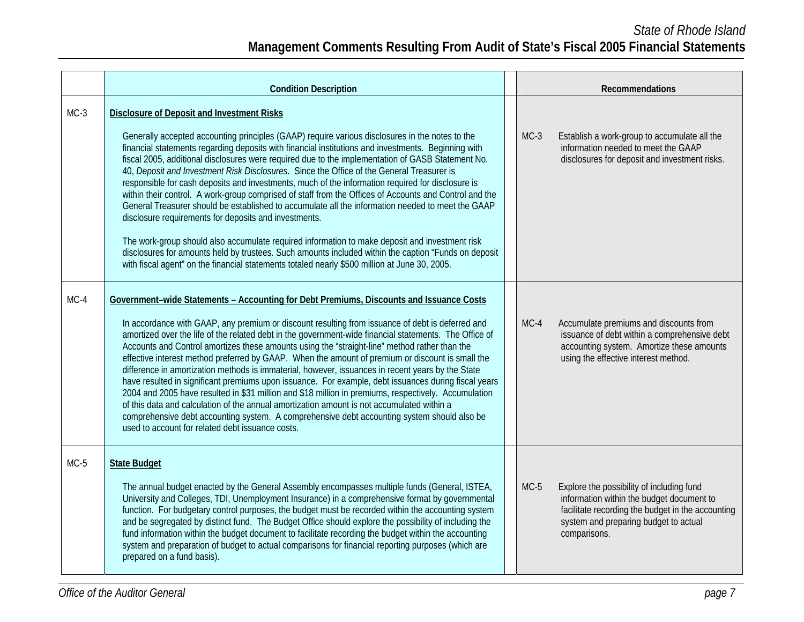|        | <b>Condition Description</b>                                                                                                                                                                                                                                                                                                                                                                                                                                                                                                                                                                                                                                                                                                                                                                                                                                                                                                                                                                                                                                                                                                                          |  |        | Recommendations                                                                                                                                                                                      |
|--------|-------------------------------------------------------------------------------------------------------------------------------------------------------------------------------------------------------------------------------------------------------------------------------------------------------------------------------------------------------------------------------------------------------------------------------------------------------------------------------------------------------------------------------------------------------------------------------------------------------------------------------------------------------------------------------------------------------------------------------------------------------------------------------------------------------------------------------------------------------------------------------------------------------------------------------------------------------------------------------------------------------------------------------------------------------------------------------------------------------------------------------------------------------|--|--------|------------------------------------------------------------------------------------------------------------------------------------------------------------------------------------------------------|
| $MC-3$ | <b>Disclosure of Deposit and Investment Risks</b><br>Generally accepted accounting principles (GAAP) require various disclosures in the notes to the<br>financial statements regarding deposits with financial institutions and investments. Beginning with<br>fiscal 2005, additional disclosures were required due to the implementation of GASB Statement No.<br>40, Deposit and Investment Risk Disclosures. Since the Office of the General Treasurer is<br>responsible for cash deposits and investments, much of the information required for disclosure is<br>within their control. A work-group comprised of staff from the Offices of Accounts and Control and the<br>General Treasurer should be established to accumulate all the information needed to meet the GAAP<br>disclosure requirements for deposits and investments.<br>The work-group should also accumulate required information to make deposit and investment risk<br>disclosures for amounts held by trustees. Such amounts included within the caption "Funds on deposit<br>with fiscal agent" on the financial statements totaled nearly \$500 million at June 30, 2005. |  | $MC-3$ | Establish a work-group to accumulate all the<br>information needed to meet the GAAP<br>disclosures for deposit and investment risks.                                                                 |
| $MC-4$ | Government-wide Statements - Accounting for Debt Premiums, Discounts and Issuance Costs<br>In accordance with GAAP, any premium or discount resulting from issuance of debt is deferred and<br>amortized over the life of the related debt in the government-wide financial statements. The Office of<br>Accounts and Control amortizes these amounts using the "straight-line" method rather than the<br>effective interest method preferred by GAAP. When the amount of premium or discount is small the<br>difference in amortization methods is immaterial, however, issuances in recent years by the State<br>have resulted in significant premiums upon issuance. For example, debt issuances during fiscal years<br>2004 and 2005 have resulted in \$31 million and \$18 million in premiums, respectively. Accumulation<br>of this data and calculation of the annual amortization amount is not accumulated within a<br>comprehensive debt accounting system. A comprehensive debt accounting system should also be<br>used to account for related debt issuance costs.                                                                      |  | $MC-4$ | Accumulate premiums and discounts from<br>issuance of debt within a comprehensive debt<br>accounting system. Amortize these amounts<br>using the effective interest method.                          |
| $MC-5$ | <b>State Budget</b><br>The annual budget enacted by the General Assembly encompasses multiple funds (General, ISTEA,<br>University and Colleges, TDI, Unemployment Insurance) in a comprehensive format by governmental<br>function. For budgetary control purposes, the budget must be recorded within the accounting system<br>and be segregated by distinct fund. The Budget Office should explore the possibility of including the<br>fund information within the budget document to facilitate recording the budget within the accounting<br>system and preparation of budget to actual comparisons for financial reporting purposes (which are<br>prepared on a fund basis).                                                                                                                                                                                                                                                                                                                                                                                                                                                                    |  | $MC-5$ | Explore the possibility of including fund<br>information within the budget document to<br>facilitate recording the budget in the accounting<br>system and preparing budget to actual<br>comparisons. |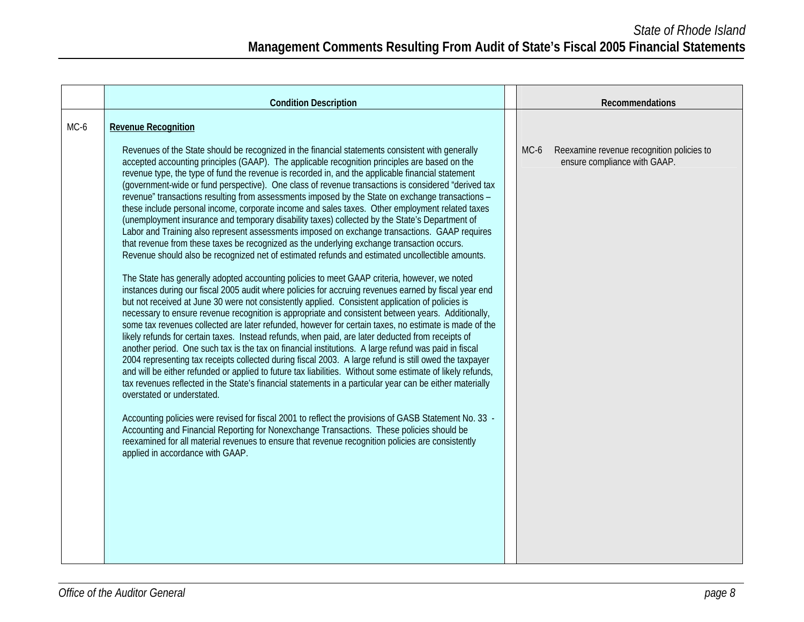|      | <b>Condition Description</b>                                                                                                                                                                                                                                                                                                                                                                                                                                                                                                                                                                                                                                                                                                                                                                                                                                                                                                                                                                                                                                                                                                                                                                                                                                    |      |                                                                           | Recommendations |  |
|------|-----------------------------------------------------------------------------------------------------------------------------------------------------------------------------------------------------------------------------------------------------------------------------------------------------------------------------------------------------------------------------------------------------------------------------------------------------------------------------------------------------------------------------------------------------------------------------------------------------------------------------------------------------------------------------------------------------------------------------------------------------------------------------------------------------------------------------------------------------------------------------------------------------------------------------------------------------------------------------------------------------------------------------------------------------------------------------------------------------------------------------------------------------------------------------------------------------------------------------------------------------------------|------|---------------------------------------------------------------------------|-----------------|--|
| MC-6 | <b>Revenue Recognition</b><br>Revenues of the State should be recognized in the financial statements consistent with generally<br>accepted accounting principles (GAAP). The applicable recognition principles are based on the<br>revenue type, the type of fund the revenue is recorded in, and the applicable financial statement<br>(government-wide or fund perspective). One class of revenue transactions is considered "derived tax<br>revenue" transactions resulting from assessments imposed by the State on exchange transactions -<br>these include personal income, corporate income and sales taxes. Other employment related taxes<br>(unemployment insurance and temporary disability taxes) collected by the State's Department of<br>Labor and Training also represent assessments imposed on exchange transactions. GAAP requires<br>that revenue from these taxes be recognized as the underlying exchange transaction occurs.<br>Revenue should also be recognized net of estimated refunds and estimated uncollectible amounts.<br>The State has generally adopted accounting policies to meet GAAP criteria, however, we noted<br>instances during our fiscal 2005 audit where policies for accruing revenues earned by fiscal year end | MC-6 | Reexamine revenue recognition policies to<br>ensure compliance with GAAP. |                 |  |
|      | but not received at June 30 were not consistently applied. Consistent application of policies is<br>necessary to ensure revenue recognition is appropriate and consistent between years. Additionally,<br>some tax revenues collected are later refunded, however for certain taxes, no estimate is made of the<br>likely refunds for certain taxes. Instead refunds, when paid, are later deducted from receipts of<br>another period. One such tax is the tax on financial institutions. A large refund was paid in fiscal<br>2004 representing tax receipts collected during fiscal 2003. A large refund is still owed the taxpayer<br>and will be either refunded or applied to future tax liabilities. Without some estimate of likely refunds,<br>tax revenues reflected in the State's financial statements in a particular year can be either materially<br>overstated or understated.<br>Accounting policies were revised for fiscal 2001 to reflect the provisions of GASB Statement No. 33 -<br>Accounting and Financial Reporting for Nonexchange Transactions. These policies should be                                                                                                                                                            |      |                                                                           |                 |  |
|      | reexamined for all material revenues to ensure that revenue recognition policies are consistently<br>applied in accordance with GAAP.                                                                                                                                                                                                                                                                                                                                                                                                                                                                                                                                                                                                                                                                                                                                                                                                                                                                                                                                                                                                                                                                                                                           |      |                                                                           |                 |  |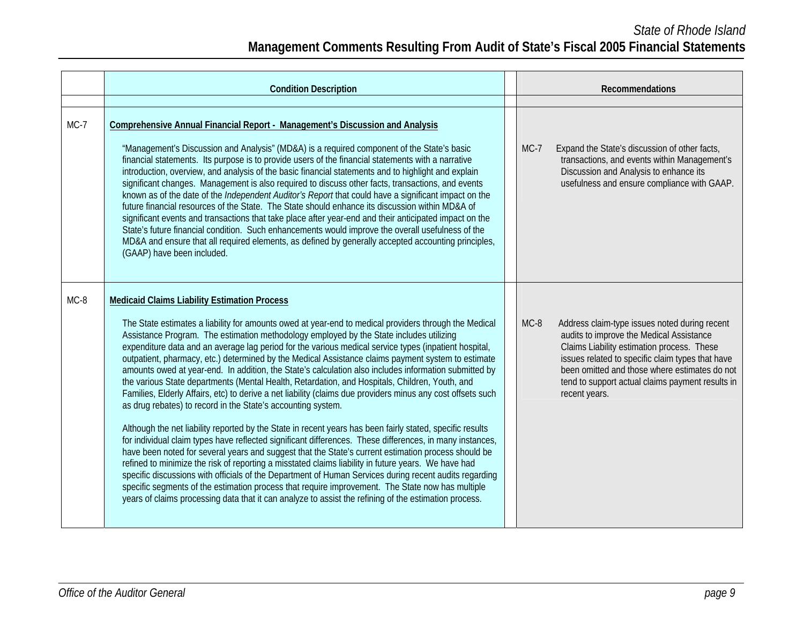## *State of Rhode Island*  **Management Comments Resulting From Audit of State's Fiscal 2005 Financial Statements**

|        | <b>Condition Description</b>                                                                                                                                                                                                                                                                                                                                                                                                                                                                                                                                                                                                                                                                                                                                                                                                                                                                                                                                                                                                                                                                                                                                                                                                                                                                                                                                                                                                                                                                                                                                                                                                   |        | Recommendations                                                                                                                                                                                                                                                                                                   |
|--------|--------------------------------------------------------------------------------------------------------------------------------------------------------------------------------------------------------------------------------------------------------------------------------------------------------------------------------------------------------------------------------------------------------------------------------------------------------------------------------------------------------------------------------------------------------------------------------------------------------------------------------------------------------------------------------------------------------------------------------------------------------------------------------------------------------------------------------------------------------------------------------------------------------------------------------------------------------------------------------------------------------------------------------------------------------------------------------------------------------------------------------------------------------------------------------------------------------------------------------------------------------------------------------------------------------------------------------------------------------------------------------------------------------------------------------------------------------------------------------------------------------------------------------------------------------------------------------------------------------------------------------|--------|-------------------------------------------------------------------------------------------------------------------------------------------------------------------------------------------------------------------------------------------------------------------------------------------------------------------|
|        |                                                                                                                                                                                                                                                                                                                                                                                                                                                                                                                                                                                                                                                                                                                                                                                                                                                                                                                                                                                                                                                                                                                                                                                                                                                                                                                                                                                                                                                                                                                                                                                                                                |        |                                                                                                                                                                                                                                                                                                                   |
| $MC-7$ | Comprehensive Annual Financial Report - Management's Discussion and Analysis<br>"Management's Discussion and Analysis" (MD&A) is a required component of the State's basic<br>financial statements. Its purpose is to provide users of the financial statements with a narrative<br>introduction, overview, and analysis of the basic financial statements and to highlight and explain<br>significant changes. Management is also required to discuss other facts, transactions, and events<br>known as of the date of the <i>Independent Auditor's Report</i> that could have a significant impact on the<br>future financial resources of the State. The State should enhance its discussion within MD&A of<br>significant events and transactions that take place after year-end and their anticipated impact on the<br>State's future financial condition. Such enhancements would improve the overall usefulness of the<br>MD&A and ensure that all required elements, as defined by generally accepted accounting principles,<br>(GAAP) have been included.                                                                                                                                                                                                                                                                                                                                                                                                                                                                                                                                                             | $MC-7$ | Expand the State's discussion of other facts,<br>transactions, and events within Management's<br>Discussion and Analysis to enhance its<br>usefulness and ensure compliance with GAAP.                                                                                                                            |
| $MC-8$ | <b>Medicaid Claims Liability Estimation Process</b><br>The State estimates a liability for amounts owed at year-end to medical providers through the Medical<br>Assistance Program. The estimation methodology employed by the State includes utilizing<br>expenditure data and an average lag period for the various medical service types (inpatient hospital,<br>outpatient, pharmacy, etc.) determined by the Medical Assistance claims payment system to estimate<br>amounts owed at year-end. In addition, the State's calculation also includes information submitted by<br>the various State departments (Mental Health, Retardation, and Hospitals, Children, Youth, and<br>Families, Elderly Affairs, etc) to derive a net liability (claims due providers minus any cost offsets such<br>as drug rebates) to record in the State's accounting system.<br>Although the net liability reported by the State in recent years has been fairly stated, specific results<br>for individual claim types have reflected significant differences. These differences, in many instances,<br>have been noted for several years and suggest that the State's current estimation process should be<br>refined to minimize the risk of reporting a misstated claims liability in future years. We have had<br>specific discussions with officials of the Department of Human Services during recent audits regarding<br>specific segments of the estimation process that require improvement. The State now has multiple<br>years of claims processing data that it can analyze to assist the refining of the estimation process. | $MC-8$ | Address claim-type issues noted during recent<br>audits to improve the Medical Assistance<br>Claims Liability estimation process. These<br>issues related to specific claim types that have<br>been omitted and those where estimates do not<br>tend to support actual claims payment results in<br>recent years. |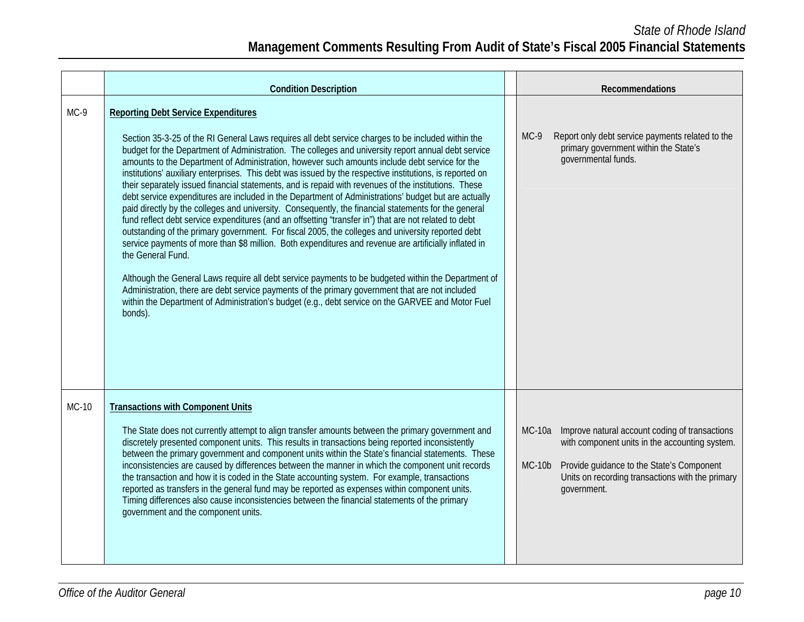|        | <b>Condition Description</b>                                                                                                                                                                                                                                                                                                                                                                                                                                                                                                                                                                                                                                                                                                                                                                                                                                                                                                                                                                                                                                                                                                                                                                                                                                                                                                                                                                                                                                        |                           | <b>Recommendations</b>                                                                                                                                                                                           |
|--------|---------------------------------------------------------------------------------------------------------------------------------------------------------------------------------------------------------------------------------------------------------------------------------------------------------------------------------------------------------------------------------------------------------------------------------------------------------------------------------------------------------------------------------------------------------------------------------------------------------------------------------------------------------------------------------------------------------------------------------------------------------------------------------------------------------------------------------------------------------------------------------------------------------------------------------------------------------------------------------------------------------------------------------------------------------------------------------------------------------------------------------------------------------------------------------------------------------------------------------------------------------------------------------------------------------------------------------------------------------------------------------------------------------------------------------------------------------------------|---------------------------|------------------------------------------------------------------------------------------------------------------------------------------------------------------------------------------------------------------|
| $MC-9$ | <b>Reporting Debt Service Expenditures</b><br>Section 35-3-25 of the RI General Laws requires all debt service charges to be included within the<br>budget for the Department of Administration. The colleges and university report annual debt service<br>amounts to the Department of Administration, however such amounts include debt service for the<br>institutions' auxiliary enterprises. This debt was issued by the respective institutions, is reported on<br>their separately issued financial statements, and is repaid with revenues of the institutions. These<br>debt service expenditures are included in the Department of Administrations' budget but are actually<br>paid directly by the colleges and university. Consequently, the financial statements for the general<br>fund reflect debt service expenditures (and an offsetting "transfer in") that are not related to debt<br>outstanding of the primary government. For fiscal 2005, the colleges and university reported debt<br>service payments of more than \$8 million. Both expenditures and revenue are artificially inflated in<br>the General Fund.<br>Although the General Laws require all debt service payments to be budgeted within the Department of<br>Administration, there are debt service payments of the primary government that are not included<br>within the Department of Administration's budget (e.g., debt service on the GARVEE and Motor Fuel<br>bonds). | $MC-9$                    | Report only debt service payments related to the<br>primary government within the State's<br>governmental funds.                                                                                                 |
| MC-10  | <b>Transactions with Component Units</b><br>The State does not currently attempt to align transfer amounts between the primary government and<br>discretely presented component units. This results in transactions being reported inconsistently<br>between the primary government and component units within the State's financial statements. These<br>inconsistencies are caused by differences between the manner in which the component unit records<br>the transaction and how it is coded in the State accounting system. For example, transactions<br>reported as transfers in the general fund may be reported as expenses within component units.<br>Timing differences also cause inconsistencies between the financial statements of the primary<br>government and the component units.                                                                                                                                                                                                                                                                                                                                                                                                                                                                                                                                                                                                                                                                | <b>MC-10a</b><br>$MC-10b$ | Improve natural account coding of transactions<br>with component units in the accounting system.<br>Provide guidance to the State's Component<br>Units on recording transactions with the primary<br>government. |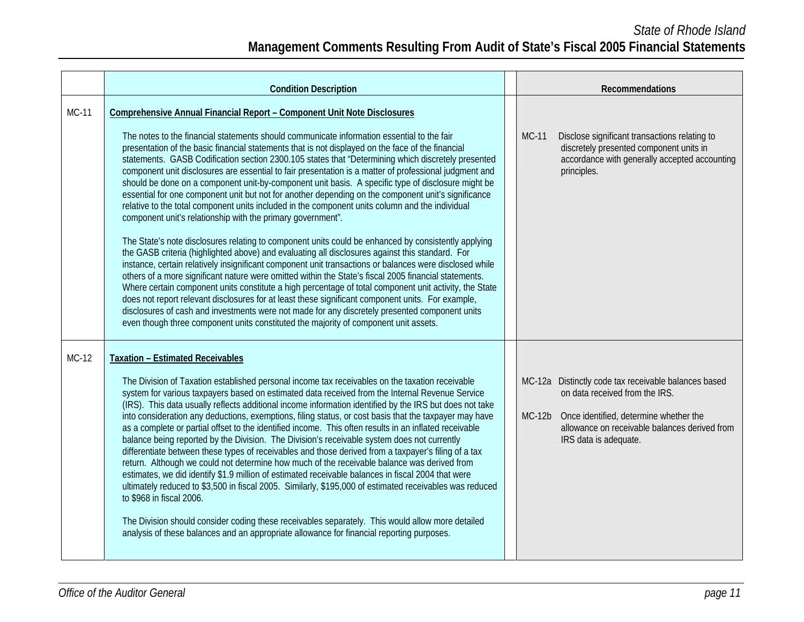|              | <b>Condition Description</b>                                                                                                                                                                                                                                                                                                                                                                                                                                                                                                                                                                                                                                                                                                                                                                                                                                                                                                                                                                                                                                                                                                                                                                                                                                                                                                                                                                                                                                                                                                                                                                                                                                                                                     |          | Recommendations                                                                                                                                                                                            |
|--------------|------------------------------------------------------------------------------------------------------------------------------------------------------------------------------------------------------------------------------------------------------------------------------------------------------------------------------------------------------------------------------------------------------------------------------------------------------------------------------------------------------------------------------------------------------------------------------------------------------------------------------------------------------------------------------------------------------------------------------------------------------------------------------------------------------------------------------------------------------------------------------------------------------------------------------------------------------------------------------------------------------------------------------------------------------------------------------------------------------------------------------------------------------------------------------------------------------------------------------------------------------------------------------------------------------------------------------------------------------------------------------------------------------------------------------------------------------------------------------------------------------------------------------------------------------------------------------------------------------------------------------------------------------------------------------------------------------------------|----------|------------------------------------------------------------------------------------------------------------------------------------------------------------------------------------------------------------|
| <b>MC-11</b> | Comprehensive Annual Financial Report - Component Unit Note Disclosures<br>The notes to the financial statements should communicate information essential to the fair<br>presentation of the basic financial statements that is not displayed on the face of the financial<br>statements. GASB Codification section 2300.105 states that "Determining which discretely presented<br>component unit disclosures are essential to fair presentation is a matter of professional judgment and<br>should be done on a component unit-by-component unit basis. A specific type of disclosure might be<br>essential for one component unit but not for another depending on the component unit's significance<br>relative to the total component units included in the component units column and the individual<br>component unit's relationship with the primary government".<br>The State's note disclosures relating to component units could be enhanced by consistently applying<br>the GASB criteria (highlighted above) and evaluating all disclosures against this standard. For<br>instance, certain relatively insignificant component unit transactions or balances were disclosed while<br>others of a more significant nature were omitted within the State's fiscal 2005 financial statements.<br>Where certain component units constitute a high percentage of total component unit activity, the State<br>does not report relevant disclosures for at least these significant component units. For example,<br>disclosures of cash and investments were not made for any discretely presented component units<br>even though three component units constituted the majority of component unit assets. | MC-11    | Disclose significant transactions relating to<br>discretely presented component units in<br>accordance with generally accepted accounting<br>principles.                                                   |
| MC-12        | <b>Taxation - Estimated Receivables</b><br>The Division of Taxation established personal income tax receivables on the taxation receivable<br>system for various taxpayers based on estimated data received from the Internal Revenue Service<br>(IRS). This data usually reflects additional income information identified by the IRS but does not take<br>into consideration any deductions, exemptions, filing status, or cost basis that the taxpayer may have<br>as a complete or partial offset to the identified income. This often results in an inflated receivable<br>balance being reported by the Division. The Division's receivable system does not currently<br>differentiate between these types of receivables and those derived from a taxpayer's filing of a tax<br>return. Although we could not determine how much of the receivable balance was derived from<br>estimates, we did identify \$1.9 million of estimated receivable balances in fiscal 2004 that were<br>ultimately reduced to \$3,500 in fiscal 2005. Similarly, \$195,000 of estimated receivables was reduced<br>to \$968 in fiscal 2006.<br>The Division should consider coding these receivables separately. This would allow more detailed<br>analysis of these balances and an appropriate allowance for financial reporting purposes.                                                                                                                                                                                                                                                                                                                                                                                 | $MC-12b$ | MC-12a Distinctly code tax receivable balances based<br>on data received from the IRS.<br>Once identified, determine whether the<br>allowance on receivable balances derived from<br>IRS data is adequate. |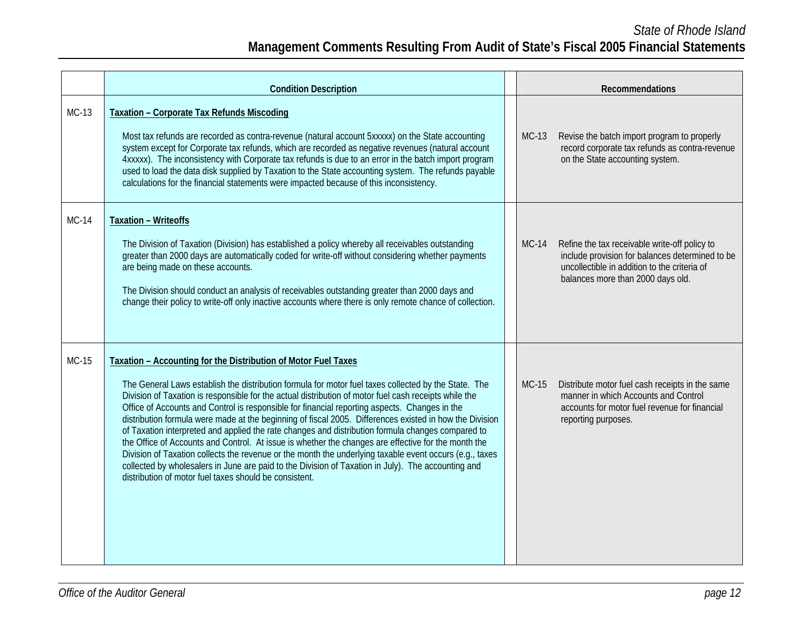# **Management Comments Resulting From Audit of State's Fiscal 2005 Financial Statements**

|       | <b>Condition Description</b>                                                                                                                                                                                                                                                                                                                                                                                                                                                                                                                                                                                                                                                                                                                                                                                                                                                                                                                                                       |         | Recommendations                                                                                                                                                                       |
|-------|------------------------------------------------------------------------------------------------------------------------------------------------------------------------------------------------------------------------------------------------------------------------------------------------------------------------------------------------------------------------------------------------------------------------------------------------------------------------------------------------------------------------------------------------------------------------------------------------------------------------------------------------------------------------------------------------------------------------------------------------------------------------------------------------------------------------------------------------------------------------------------------------------------------------------------------------------------------------------------|---------|---------------------------------------------------------------------------------------------------------------------------------------------------------------------------------------|
| MC-13 | <b>Taxation - Corporate Tax Refunds Miscoding</b><br>Most tax refunds are recorded as contra-revenue (natural account 5xxxxx) on the State accounting<br>system except for Corporate tax refunds, which are recorded as negative revenues (natural account<br>4xxxxx). The inconsistency with Corporate tax refunds is due to an error in the batch import program<br>used to load the data disk supplied by Taxation to the State accounting system. The refunds payable<br>calculations for the financial statements were impacted because of this inconsistency.                                                                                                                                                                                                                                                                                                                                                                                                                | $MC-13$ | Revise the batch import program to properly<br>record corporate tax refunds as contra-revenue<br>on the State accounting system.                                                      |
| MC-14 | <b>Taxation - Writeoffs</b><br>The Division of Taxation (Division) has established a policy whereby all receivables outstanding<br>greater than 2000 days are automatically coded for write-off without considering whether payments<br>are being made on these accounts.<br>The Division should conduct an analysis of receivables outstanding greater than 2000 days and<br>change their policy to write-off only inactive accounts where there is only remote chance of collection.                                                                                                                                                                                                                                                                                                                                                                                                                                                                                             | $MC-14$ | Refine the tax receivable write-off policy to<br>include provision for balances determined to be<br>uncollectible in addition to the criteria of<br>balances more than 2000 days old. |
| MC-15 | Taxation - Accounting for the Distribution of Motor Fuel Taxes<br>The General Laws establish the distribution formula for motor fuel taxes collected by the State. The<br>Division of Taxation is responsible for the actual distribution of motor fuel cash receipts while the<br>Office of Accounts and Control is responsible for financial reporting aspects. Changes in the<br>distribution formula were made at the beginning of fiscal 2005. Differences existed in how the Division<br>of Taxation interpreted and applied the rate changes and distribution formula changes compared to<br>the Office of Accounts and Control. At issue is whether the changes are effective for the month the<br>Division of Taxation collects the revenue or the month the underlying taxable event occurs (e.g., taxes<br>collected by wholesalers in June are paid to the Division of Taxation in July). The accounting and<br>distribution of motor fuel taxes should be consistent. | $MC-15$ | Distribute motor fuel cash receipts in the same<br>manner in which Accounts and Control<br>accounts for motor fuel revenue for financial<br>reporting purposes.                       |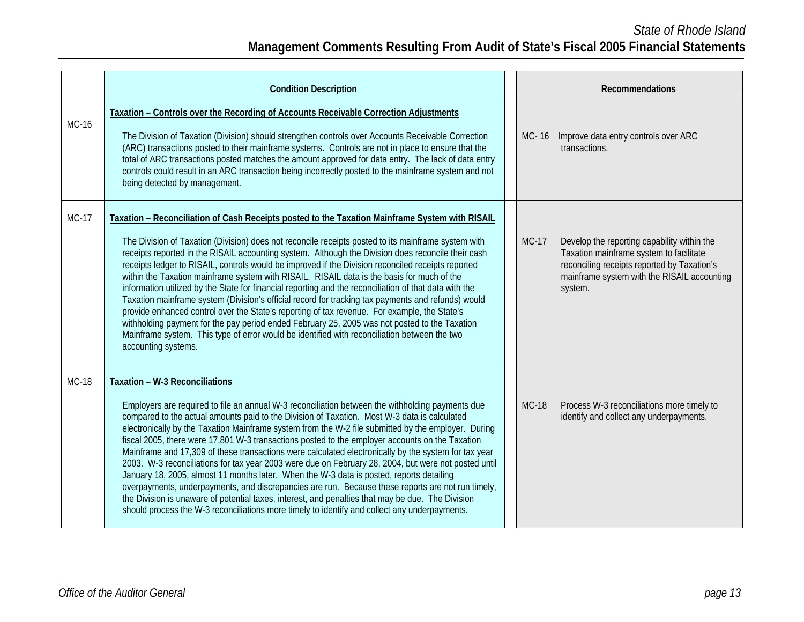|              | <b>Condition Description</b>                                                                                                                                                                                                                                                                                                                                                                                                                                                                                                                                                                                                                                                                                                                                                                                                                                                                                                                                                                                                                                        |              | Recommendations                                                                                                                                                                                 |
|--------------|---------------------------------------------------------------------------------------------------------------------------------------------------------------------------------------------------------------------------------------------------------------------------------------------------------------------------------------------------------------------------------------------------------------------------------------------------------------------------------------------------------------------------------------------------------------------------------------------------------------------------------------------------------------------------------------------------------------------------------------------------------------------------------------------------------------------------------------------------------------------------------------------------------------------------------------------------------------------------------------------------------------------------------------------------------------------|--------------|-------------------------------------------------------------------------------------------------------------------------------------------------------------------------------------------------|
| MC-16        | Taxation - Controls over the Recording of Accounts Receivable Correction Adjustments<br>The Division of Taxation (Division) should strengthen controls over Accounts Receivable Correction<br>(ARC) transactions posted to their mainframe systems. Controls are not in place to ensure that the<br>total of ARC transactions posted matches the amount approved for data entry. The lack of data entry<br>controls could result in an ARC transaction being incorrectly posted to the mainframe system and not<br>being detected by management.                                                                                                                                                                                                                                                                                                                                                                                                                                                                                                                    | MC-16        | Improve data entry controls over ARC<br>transactions.                                                                                                                                           |
| <b>MC-17</b> | Taxation - Reconciliation of Cash Receipts posted to the Taxation Mainframe System with RISAIL<br>The Division of Taxation (Division) does not reconcile receipts posted to its mainframe system with<br>receipts reported in the RISAIL accounting system. Although the Division does reconcile their cash<br>receipts ledger to RISAIL, controls would be improved if the Division reconciled receipts reported<br>within the Taxation mainframe system with RISAIL. RISAIL data is the basis for much of the<br>information utilized by the State for financial reporting and the reconciliation of that data with the<br>Taxation mainframe system (Division's official record for tracking tax payments and refunds) would<br>provide enhanced control over the State's reporting of tax revenue. For example, the State's<br>withholding payment for the pay period ended February 25, 2005 was not posted to the Taxation<br>Mainframe system. This type of error would be identified with reconciliation between the two<br>accounting systems.             | <b>MC-17</b> | Develop the reporting capability within the<br>Taxation mainframe system to facilitate<br>reconciling receipts reported by Taxation's<br>mainframe system with the RISAIL accounting<br>system. |
| <b>MC-18</b> | Taxation - W-3 Reconciliations<br>Employers are required to file an annual W-3 reconciliation between the withholding payments due<br>compared to the actual amounts paid to the Division of Taxation. Most W-3 data is calculated<br>electronically by the Taxation Mainframe system from the W-2 file submitted by the employer. During<br>fiscal 2005, there were 17,801 W-3 transactions posted to the employer accounts on the Taxation<br>Mainframe and 17,309 of these transactions were calculated electronically by the system for tax year<br>2003. W-3 reconciliations for tax year 2003 were due on February 28, 2004, but were not posted until<br>January 18, 2005, almost 11 months later. When the W-3 data is posted, reports detailing<br>overpayments, underpayments, and discrepancies are run. Because these reports are not run timely,<br>the Division is unaware of potential taxes, interest, and penalties that may be due. The Division<br>should process the W-3 reconciliations more timely to identify and collect any underpayments. | <b>MC-18</b> | Process W-3 reconciliations more timely to<br>identify and collect any underpayments.                                                                                                           |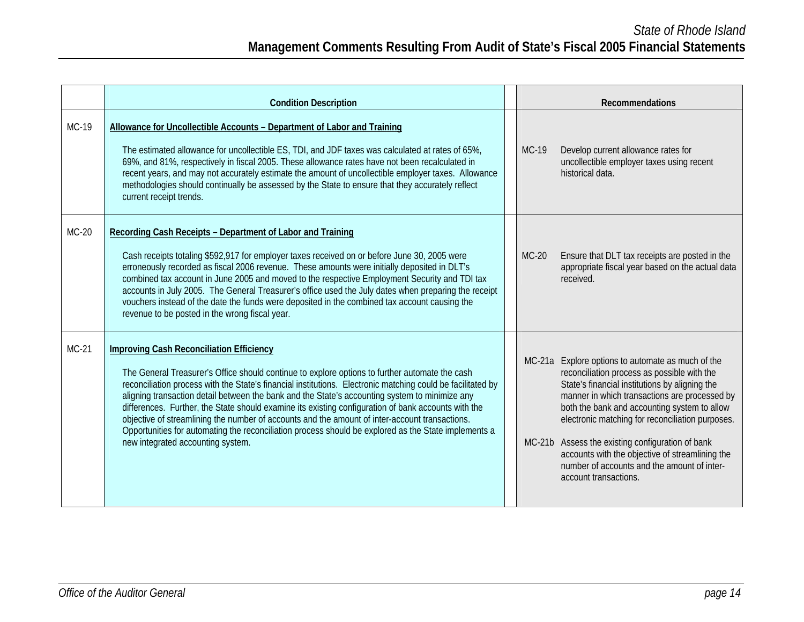|         | <b>Condition Description</b>                                                                                                                                                                                                                                                                                                                                                                                                                                                                                                                                                                                                                                                                                             |              | <b>Recommendations</b>                                                                                                                                                                                                                                                                                                                                                                                                                                                                 |
|---------|--------------------------------------------------------------------------------------------------------------------------------------------------------------------------------------------------------------------------------------------------------------------------------------------------------------------------------------------------------------------------------------------------------------------------------------------------------------------------------------------------------------------------------------------------------------------------------------------------------------------------------------------------------------------------------------------------------------------------|--------------|----------------------------------------------------------------------------------------------------------------------------------------------------------------------------------------------------------------------------------------------------------------------------------------------------------------------------------------------------------------------------------------------------------------------------------------------------------------------------------------|
| MC-19   | Allowance for Uncollectible Accounts - Department of Labor and Training<br>The estimated allowance for uncollectible ES, TDI, and JDF taxes was calculated at rates of 65%,<br>69%, and 81%, respectively in fiscal 2005. These allowance rates have not been recalculated in<br>recent years, and may not accurately estimate the amount of uncollectible employer taxes. Allowance<br>methodologies should continually be assessed by the State to ensure that they accurately reflect<br>current receipt trends.                                                                                                                                                                                                      | <b>MC-19</b> | Develop current allowance rates for<br>uncollectible employer taxes using recent<br>historical data.                                                                                                                                                                                                                                                                                                                                                                                   |
| $MC-20$ | Recording Cash Receipts - Department of Labor and Training<br>Cash receipts totaling \$592,917 for employer taxes received on or before June 30, 2005 were<br>erroneously recorded as fiscal 2006 revenue. These amounts were initially deposited in DLT's<br>combined tax account in June 2005 and moved to the respective Employment Security and TDI tax<br>accounts in July 2005. The General Treasurer's office used the July dates when preparing the receipt<br>vouchers instead of the date the funds were deposited in the combined tax account causing the<br>revenue to be posted in the wrong fiscal year.                                                                                                   | $MC-20$      | Ensure that DLT tax receipts are posted in the<br>appropriate fiscal year based on the actual data<br>received.                                                                                                                                                                                                                                                                                                                                                                        |
| MC-21   | <b>Improving Cash Reconciliation Efficiency</b><br>The General Treasurer's Office should continue to explore options to further automate the cash<br>reconciliation process with the State's financial institutions. Electronic matching could be facilitated by<br>aligning transaction detail between the bank and the State's accounting system to minimize any<br>differences. Further, the State should examine its existing configuration of bank accounts with the<br>objective of streamlining the number of accounts and the amount of inter-account transactions.<br>Opportunities for automating the reconciliation process should be explored as the State implements a<br>new integrated accounting system. |              | MC-21a Explore options to automate as much of the<br>reconciliation process as possible with the<br>State's financial institutions by aligning the<br>manner in which transactions are processed by<br>both the bank and accounting system to allow<br>electronic matching for reconciliation purposes.<br>MC-21b Assess the existing configuration of bank<br>accounts with the objective of streamlining the<br>number of accounts and the amount of inter-<br>account transactions. |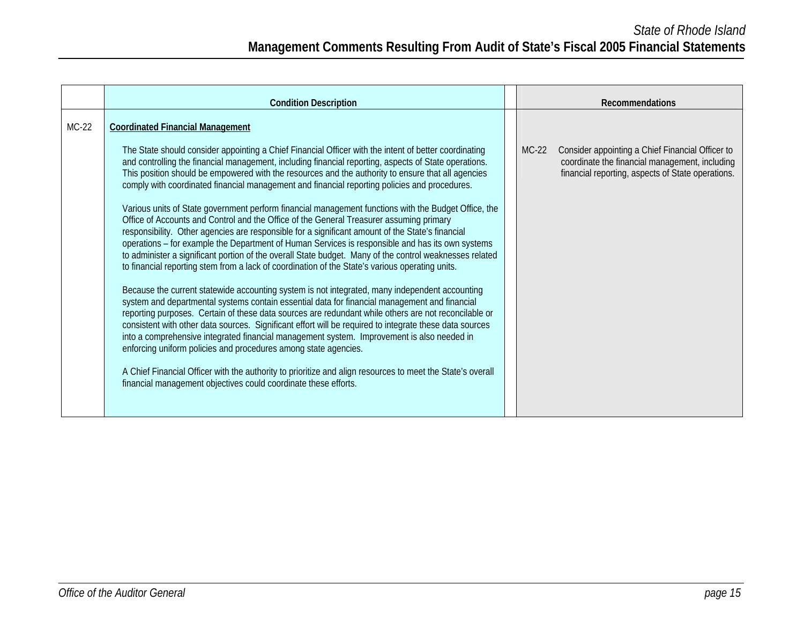|         | <b>Condition Description</b>                                                                                                                                                                                                                                                                                                                                                                                                                                                                                                                                                                                                                                                                                                                                                                                                                                                                                                                                                                                                                                                                                                                                                                                                                                                                                                                                                                                                                                                                                                                                                                                                                                                     |         | <b>Recommendations</b>                                                                                                                                  |
|---------|----------------------------------------------------------------------------------------------------------------------------------------------------------------------------------------------------------------------------------------------------------------------------------------------------------------------------------------------------------------------------------------------------------------------------------------------------------------------------------------------------------------------------------------------------------------------------------------------------------------------------------------------------------------------------------------------------------------------------------------------------------------------------------------------------------------------------------------------------------------------------------------------------------------------------------------------------------------------------------------------------------------------------------------------------------------------------------------------------------------------------------------------------------------------------------------------------------------------------------------------------------------------------------------------------------------------------------------------------------------------------------------------------------------------------------------------------------------------------------------------------------------------------------------------------------------------------------------------------------------------------------------------------------------------------------|---------|---------------------------------------------------------------------------------------------------------------------------------------------------------|
| $MC-22$ | <b>Coordinated Financial Management</b><br>The State should consider appointing a Chief Financial Officer with the intent of better coordinating<br>and controlling the financial management, including financial reporting, aspects of State operations.<br>This position should be empowered with the resources and the authority to ensure that all agencies<br>comply with coordinated financial management and financial reporting policies and procedures.<br>Various units of State government perform financial management functions with the Budget Office, the<br>Office of Accounts and Control and the Office of the General Treasurer assuming primary<br>responsibility. Other agencies are responsible for a significant amount of the State's financial<br>operations - for example the Department of Human Services is responsible and has its own systems<br>to administer a significant portion of the overall State budget. Many of the control weaknesses related<br>to financial reporting stem from a lack of coordination of the State's various operating units.<br>Because the current statewide accounting system is not integrated, many independent accounting<br>system and departmental systems contain essential data for financial management and financial<br>reporting purposes. Certain of these data sources are redundant while others are not reconcilable or<br>consistent with other data sources. Significant effort will be required to integrate these data sources<br>into a comprehensive integrated financial management system. Improvement is also needed in<br>enforcing uniform policies and procedures among state agencies. | $MC-22$ | Consider appointing a Chief Financial Officer to<br>coordinate the financial management, including<br>financial reporting, aspects of State operations. |
|         | A Chief Financial Officer with the authority to prioritize and align resources to meet the State's overall<br>financial management objectives could coordinate these efforts.                                                                                                                                                                                                                                                                                                                                                                                                                                                                                                                                                                                                                                                                                                                                                                                                                                                                                                                                                                                                                                                                                                                                                                                                                                                                                                                                                                                                                                                                                                    |         |                                                                                                                                                         |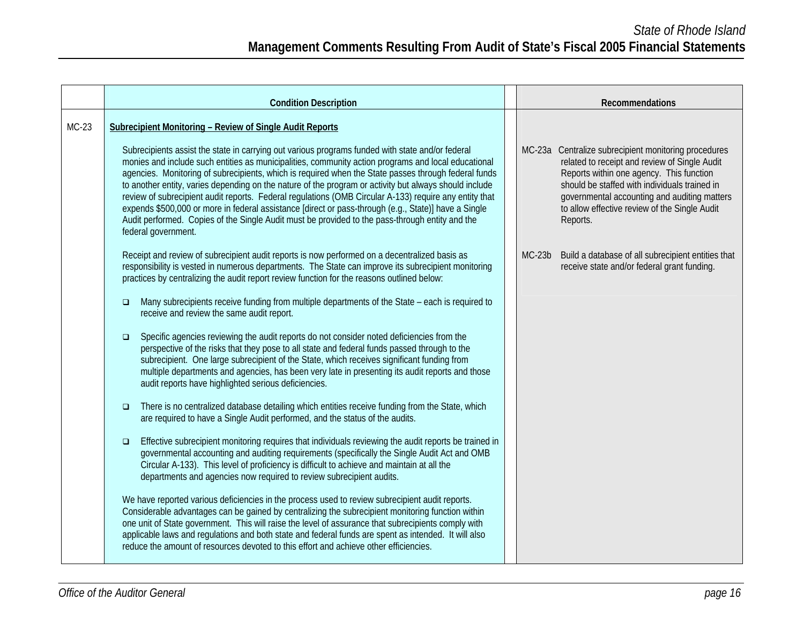|         | <b>Condition Description</b>                                                                                                                                                                                                                                                                                                                                                                                                                                                                                                                                                                                                                                                                                                                                                                                                                                                                                                                                                                                                                                                                                                                                                                                                                                                                                                                                                                                                                                                                                                                                                                                                                                                                                                                                                                                                                                                                                                                                                                                                       |          | Recommendations                                                                                                                                                                                                                                                                                                 |
|---------|------------------------------------------------------------------------------------------------------------------------------------------------------------------------------------------------------------------------------------------------------------------------------------------------------------------------------------------------------------------------------------------------------------------------------------------------------------------------------------------------------------------------------------------------------------------------------------------------------------------------------------------------------------------------------------------------------------------------------------------------------------------------------------------------------------------------------------------------------------------------------------------------------------------------------------------------------------------------------------------------------------------------------------------------------------------------------------------------------------------------------------------------------------------------------------------------------------------------------------------------------------------------------------------------------------------------------------------------------------------------------------------------------------------------------------------------------------------------------------------------------------------------------------------------------------------------------------------------------------------------------------------------------------------------------------------------------------------------------------------------------------------------------------------------------------------------------------------------------------------------------------------------------------------------------------------------------------------------------------------------------------------------------------|----------|-----------------------------------------------------------------------------------------------------------------------------------------------------------------------------------------------------------------------------------------------------------------------------------------------------------------|
| $MC-23$ | Subrecipient Monitoring - Review of Single Audit Reports<br>Subrecipients assist the state in carrying out various programs funded with state and/or federal<br>monies and include such entities as municipalities, community action programs and local educational<br>agencies. Monitoring of subrecipients, which is required when the State passes through federal funds<br>to another entity, varies depending on the nature of the program or activity but always should include<br>review of subrecipient audit reports. Federal regulations (OMB Circular A-133) require any entity that<br>expends \$500,000 or more in federal assistance [direct or pass-through (e.g., State)] have a Single<br>Audit performed. Copies of the Single Audit must be provided to the pass-through entity and the<br>federal government.                                                                                                                                                                                                                                                                                                                                                                                                                                                                                                                                                                                                                                                                                                                                                                                                                                                                                                                                                                                                                                                                                                                                                                                                  |          | MC-23a Centralize subrecipient monitoring procedures<br>related to receipt and review of Single Audit<br>Reports within one agency. This function<br>should be staffed with individuals trained in<br>governmental accounting and auditing matters<br>to allow effective review of the Single Audit<br>Reports. |
|         | Receipt and review of subrecipient audit reports is now performed on a decentralized basis as<br>responsibility is vested in numerous departments. The State can improve its subrecipient monitoring<br>practices by centralizing the audit report review function for the reasons outlined below:<br>Many subrecipients receive funding from multiple departments of the State - each is required to<br>$\Box$<br>receive and review the same audit report.<br>Specific agencies reviewing the audit reports do not consider noted deficiencies from the<br>$\Box$<br>perspective of the risks that they pose to all state and federal funds passed through to the<br>subrecipient. One large subrecipient of the State, which receives significant funding from<br>multiple departments and agencies, has been very late in presenting its audit reports and those<br>audit reports have highlighted serious deficiencies.<br>There is no centralized database detailing which entities receive funding from the State, which<br>$\Box$<br>are required to have a Single Audit performed, and the status of the audits.<br>Effective subrecipient monitoring requires that individuals reviewing the audit reports be trained in<br>$\Box$<br>governmental accounting and auditing requirements (specifically the Single Audit Act and OMB<br>Circular A-133). This level of proficiency is difficult to achieve and maintain at all the<br>departments and agencies now required to review subrecipient audits.<br>We have reported various deficiencies in the process used to review subrecipient audit reports.<br>Considerable advantages can be gained by centralizing the subrecipient monitoring function within<br>one unit of State government. This will raise the level of assurance that subrecipients comply with<br>applicable laws and regulations and both state and federal funds are spent as intended. It will also<br>reduce the amount of resources devoted to this effort and achieve other efficiencies. | $MC-23b$ | Build a database of all subrecipient entities that<br>receive state and/or federal grant funding.                                                                                                                                                                                                               |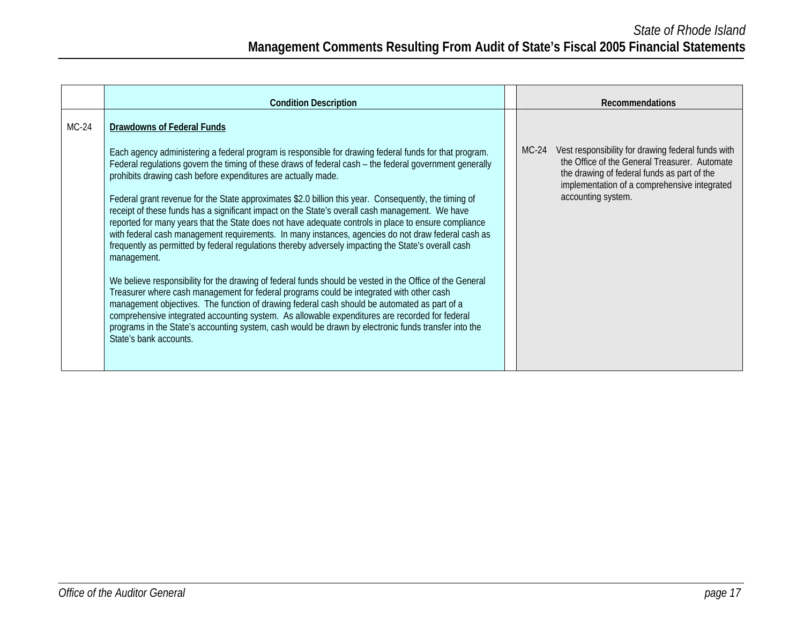|         | <b>Condition Description</b>                                                                                                                                                                                                                                                                                                                                                                                                                                                                                                                                                                                                                                                                                                                                                                                                                                                                                                                                                                                                                                                                                                                                                                                                                                                                                                                                                   | <b>Recommendations</b>                                                                                                                                                                                                              |
|---------|--------------------------------------------------------------------------------------------------------------------------------------------------------------------------------------------------------------------------------------------------------------------------------------------------------------------------------------------------------------------------------------------------------------------------------------------------------------------------------------------------------------------------------------------------------------------------------------------------------------------------------------------------------------------------------------------------------------------------------------------------------------------------------------------------------------------------------------------------------------------------------------------------------------------------------------------------------------------------------------------------------------------------------------------------------------------------------------------------------------------------------------------------------------------------------------------------------------------------------------------------------------------------------------------------------------------------------------------------------------------------------|-------------------------------------------------------------------------------------------------------------------------------------------------------------------------------------------------------------------------------------|
| $MC-24$ | Drawdowns of Federal Funds                                                                                                                                                                                                                                                                                                                                                                                                                                                                                                                                                                                                                                                                                                                                                                                                                                                                                                                                                                                                                                                                                                                                                                                                                                                                                                                                                     |                                                                                                                                                                                                                                     |
|         | Each agency administering a federal program is responsible for drawing federal funds for that program.<br>Federal regulations govern the timing of these draws of federal cash – the federal government generally<br>prohibits drawing cash before expenditures are actually made.<br>Federal grant revenue for the State approximates \$2.0 billion this year. Consequently, the timing of<br>receipt of these funds has a significant impact on the State's overall cash management. We have<br>reported for many years that the State does not have adequate controls in place to ensure compliance<br>with federal cash management requirements. In many instances, agencies do not draw federal cash as<br>frequently as permitted by federal requlations thereby adversely impacting the State's overall cash<br>management.<br>We believe responsibility for the drawing of federal funds should be vested in the Office of the General<br>Treasurer where cash management for federal programs could be integrated with other cash<br>management objectives. The function of drawing federal cash should be automated as part of a<br>comprehensive integrated accounting system. As allowable expenditures are recorded for federal<br>programs in the State's accounting system, cash would be drawn by electronic funds transfer into the<br>State's bank accounts. | $MC-24$<br>Vest responsibility for drawing federal funds with<br>the Office of the General Treasurer. Automate<br>the drawing of federal funds as part of the<br>implementation of a comprehensive integrated<br>accounting system. |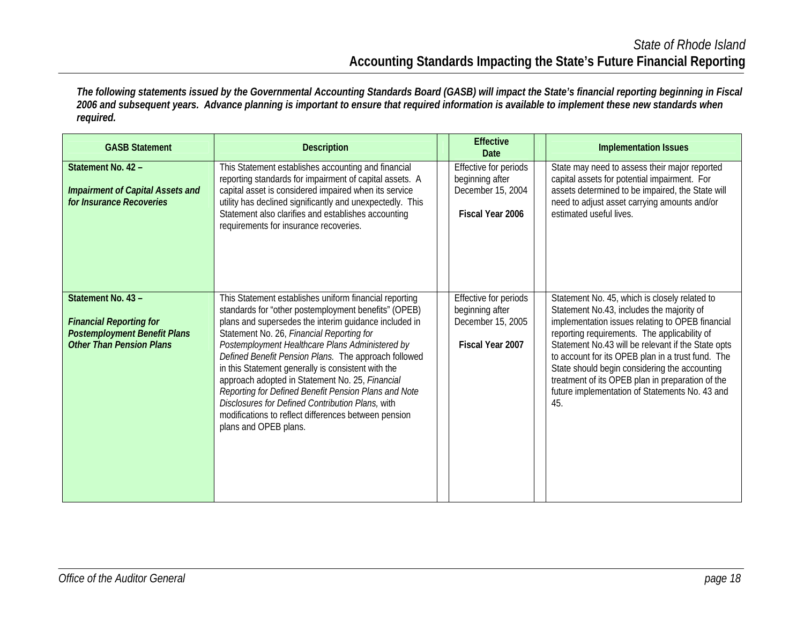*The following statements issued by the Governmental Accounting Standards Board (GASB) will impact the State's financial reporting beginning in Fiscal 2006 and subsequent years. Advance planning is important to ensure that required information is available to implement these new standards when required.* 

| <b>GASB Statement</b>                                                                                                          | <b>Description</b>                                                                                                                                                                                                                                                                                                                                                                                                                                                                                                                                                                                                                    | <b>Effective</b><br>Date                                                          | <b>Implementation Issues</b>                                                                                                                                                                                                                                                                                                                                                                                                                                            |
|--------------------------------------------------------------------------------------------------------------------------------|---------------------------------------------------------------------------------------------------------------------------------------------------------------------------------------------------------------------------------------------------------------------------------------------------------------------------------------------------------------------------------------------------------------------------------------------------------------------------------------------------------------------------------------------------------------------------------------------------------------------------------------|-----------------------------------------------------------------------------------|-------------------------------------------------------------------------------------------------------------------------------------------------------------------------------------------------------------------------------------------------------------------------------------------------------------------------------------------------------------------------------------------------------------------------------------------------------------------------|
| Statement No. 42 -<br><b>Impairment of Capital Assets and</b><br>for Insurance Recoveries                                      | This Statement establishes accounting and financial<br>reporting standards for impairment of capital assets. A<br>capital asset is considered impaired when its service<br>utility has declined significantly and unexpectedly. This<br>Statement also clarifies and establishes accounting<br>requirements for insurance recoveries.                                                                                                                                                                                                                                                                                                 | Effective for periods<br>beginning after<br>December 15, 2004<br>Fiscal Year 2006 | State may need to assess their major reported<br>capital assets for potential impairment. For<br>assets determined to be impaired, the State will<br>need to adjust asset carrying amounts and/or<br>estimated useful lives.                                                                                                                                                                                                                                            |
| Statement No. 43 -<br><b>Financial Reporting for</b><br><b>Postemployment Benefit Plans</b><br><b>Other Than Pension Plans</b> | This Statement establishes uniform financial reporting<br>standards for "other postemployment benefits" (OPEB)<br>plans and supersedes the interim guidance included in<br>Statement No. 26, Financial Reporting for<br>Postemployment Healthcare Plans Administered by<br>Defined Benefit Pension Plans. The approach followed<br>in this Statement generally is consistent with the<br>approach adopted in Statement No. 25, Financial<br>Reporting for Defined Benefit Pension Plans and Note<br>Disclosures for Defined Contribution Plans, with<br>modifications to reflect differences between pension<br>plans and OPEB plans. | Effective for periods<br>beginning after<br>December 15, 2005<br>Fiscal Year 2007 | Statement No. 45, which is closely related to<br>Statement No.43, includes the majority of<br>implementation issues relating to OPEB financial<br>reporting requirements. The applicability of<br>Statement No.43 will be relevant if the State opts<br>to account for its OPEB plan in a trust fund. The<br>State should begin considering the accounting<br>treatment of its OPEB plan in preparation of the<br>future implementation of Statements No. 43 and<br>45. |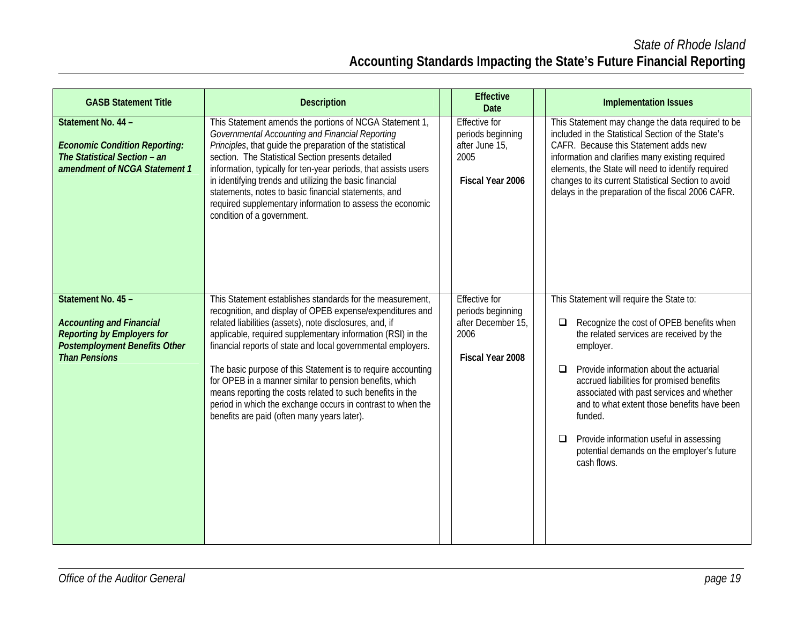*State of Rhode Island*  **Accounting Standards Impacting the State's Future Financial Reporting** 

| <b>GASB Statement Title</b>                                                                                                                                | <b>Description</b>                                                                                                                                                                                                                                                                                                                                                                                                                                                                                                                                                                                                     | <b>Effective</b><br><b>Date</b>                                                             | <b>Implementation Issues</b>                                                                                                                                                                                                                                                                                                                                                                                                                                                   |
|------------------------------------------------------------------------------------------------------------------------------------------------------------|------------------------------------------------------------------------------------------------------------------------------------------------------------------------------------------------------------------------------------------------------------------------------------------------------------------------------------------------------------------------------------------------------------------------------------------------------------------------------------------------------------------------------------------------------------------------------------------------------------------------|---------------------------------------------------------------------------------------------|--------------------------------------------------------------------------------------------------------------------------------------------------------------------------------------------------------------------------------------------------------------------------------------------------------------------------------------------------------------------------------------------------------------------------------------------------------------------------------|
| Statement No. 44 -<br><b>Economic Condition Reporting:</b><br>The Statistical Section - an<br>amendment of NCGA Statement 1                                | This Statement amends the portions of NCGA Statement 1,<br>Governmental Accounting and Financial Reporting<br>Principles, that guide the preparation of the statistical<br>section. The Statistical Section presents detailed<br>information, typically for ten-year periods, that assists users<br>in identifying trends and utilizing the basic financial<br>statements, notes to basic financial statements, and<br>required supplementary information to assess the economic<br>condition of a government.                                                                                                         | <b>Effective for</b><br>periods beginning<br>after June 15,<br>2005<br>Fiscal Year 2006     | This Statement may change the data required to be<br>included in the Statistical Section of the State's<br>CAFR. Because this Statement adds new<br>information and clarifies many existing required<br>elements, the State will need to identify required<br>changes to its current Statistical Section to avoid<br>delays in the preparation of the fiscal 2006 CAFR.                                                                                                        |
| Statement No. 45 -<br><b>Accounting and Financial</b><br><b>Reporting by Employers for</b><br><b>Postemployment Benefits Other</b><br><b>Than Pensions</b> | This Statement establishes standards for the measurement,<br>recognition, and display of OPEB expense/expenditures and<br>related liabilities (assets), note disclosures, and, if<br>applicable, required supplementary information (RSI) in the<br>financial reports of state and local governmental employers.<br>The basic purpose of this Statement is to require accounting<br>for OPEB in a manner similar to pension benefits, which<br>means reporting the costs related to such benefits in the<br>period in which the exchange occurs in contrast to when the<br>benefits are paid (often many years later). | <b>Effective for</b><br>periods beginning<br>after December 15,<br>2006<br>Fiscal Year 2008 | This Statement will require the State to:<br>Recognize the cost of OPEB benefits when<br>$\Box$<br>the related services are received by the<br>employer.<br>Provide information about the actuarial<br>□<br>accrued liabilities for promised benefits<br>associated with past services and whether<br>and to what extent those benefits have been<br>funded.<br>Provide information useful in assessing<br>$\Box$<br>potential demands on the employer's future<br>cash flows. |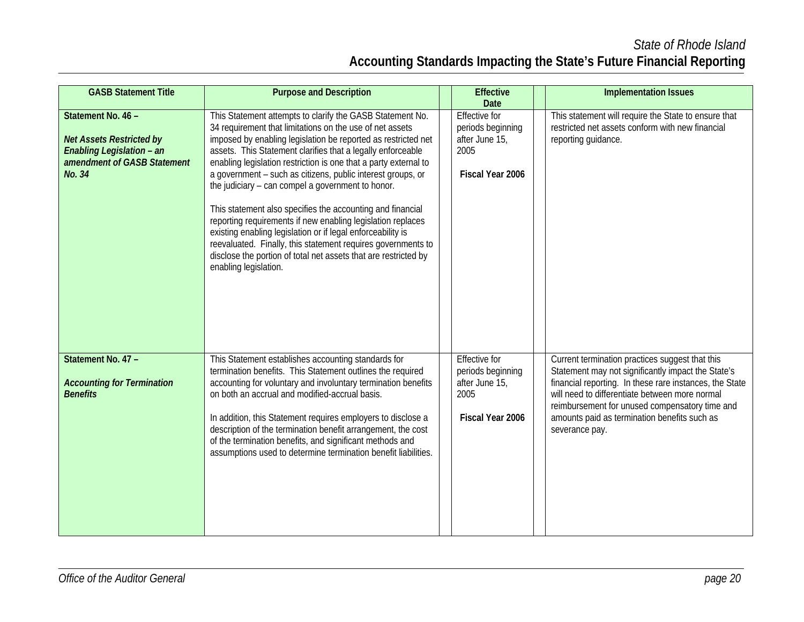*State of Rhode Island*  **Accounting Standards Impacting the State's Future Financial Reporting** 

| <b>GASB Statement Title</b>                                                                                                 | <b>Purpose and Description</b>                                                                                                                                                                                                                                                                                                                                                                                                                                                                                                                                                                                                                                                                                                                                                                        | <b>Effective</b><br><b>Date</b>                                                         | <b>Implementation Issues</b>                                                                                                                                                                                                                                                                                                           |
|-----------------------------------------------------------------------------------------------------------------------------|-------------------------------------------------------------------------------------------------------------------------------------------------------------------------------------------------------------------------------------------------------------------------------------------------------------------------------------------------------------------------------------------------------------------------------------------------------------------------------------------------------------------------------------------------------------------------------------------------------------------------------------------------------------------------------------------------------------------------------------------------------------------------------------------------------|-----------------------------------------------------------------------------------------|----------------------------------------------------------------------------------------------------------------------------------------------------------------------------------------------------------------------------------------------------------------------------------------------------------------------------------------|
| Statement No. 46 -<br><b>Net Assets Restricted by</b><br>Enabling Legislation - an<br>amendment of GASB Statement<br>No. 34 | This Statement attempts to clarify the GASB Statement No.<br>34 requirement that limitations on the use of net assets<br>imposed by enabling legislation be reported as restricted net<br>assets. This Statement clarifies that a legally enforceable<br>enabling legislation restriction is one that a party external to<br>a government - such as citizens, public interest groups, or<br>the judiciary - can compel a government to honor.<br>This statement also specifies the accounting and financial<br>reporting requirements if new enabling legislation replaces<br>existing enabling legislation or if legal enforceability is<br>reevaluated. Finally, this statement requires governments to<br>disclose the portion of total net assets that are restricted by<br>enabling legislation. | <b>Effective for</b><br>periods beginning<br>after June 15,<br>2005<br>Fiscal Year 2006 | This statement will require the State to ensure that<br>restricted net assets conform with new financial<br>reporting guidance.                                                                                                                                                                                                        |
| Statement No. 47 -<br><b>Accounting for Termination</b><br><b>Benefits</b>                                                  | This Statement establishes accounting standards for<br>termination benefits. This Statement outlines the required<br>accounting for voluntary and involuntary termination benefits<br>on both an accrual and modified-accrual basis.<br>In addition, this Statement requires employers to disclose a<br>description of the termination benefit arrangement, the cost<br>of the termination benefits, and significant methods and<br>assumptions used to determine termination benefit liabilities.                                                                                                                                                                                                                                                                                                    | Effective for<br>periods beginning<br>after June 15,<br>2005<br>Fiscal Year 2006        | Current termination practices suggest that this<br>Statement may not significantly impact the State's<br>financial reporting. In these rare instances, the State<br>will need to differentiate between more normal<br>reimbursement for unused compensatory time and<br>amounts paid as termination benefits such as<br>severance pay. |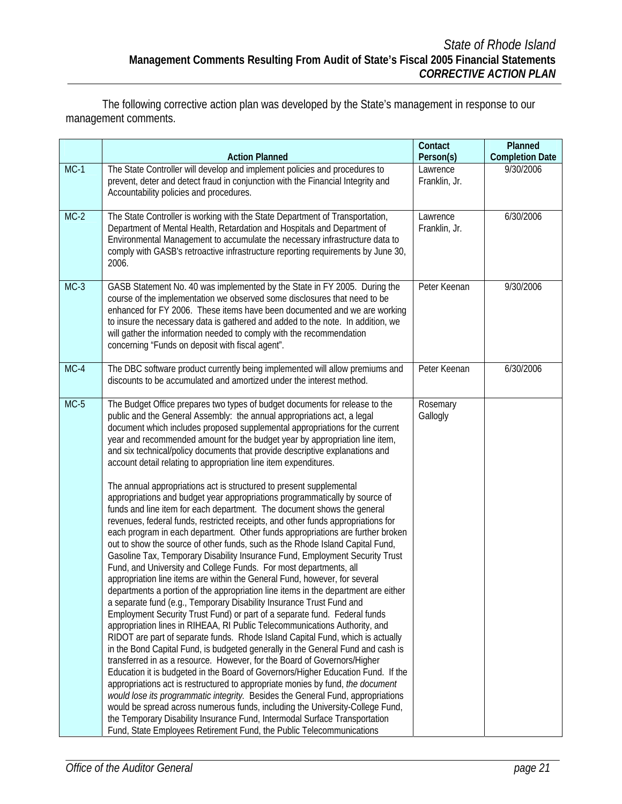The following corrective action plan was developed by the State's management in response to our management comments.

|        | <b>Action Planned</b>                                                                                                                                                                                                                                                                                                                                                                                                                                                                                                                                                                                                                                                                                                                                                                                                                                                                                                                                                                                                                                                                                                                                                                                                                                                                                                                                                                                                                                                                                                                                                                                                                                                                                                                                                                                                                                                                                                                                                                                                                                                                                                                                                                                                                                                          | Contact<br>Person(s)      | Planned<br><b>Completion Date</b> |
|--------|--------------------------------------------------------------------------------------------------------------------------------------------------------------------------------------------------------------------------------------------------------------------------------------------------------------------------------------------------------------------------------------------------------------------------------------------------------------------------------------------------------------------------------------------------------------------------------------------------------------------------------------------------------------------------------------------------------------------------------------------------------------------------------------------------------------------------------------------------------------------------------------------------------------------------------------------------------------------------------------------------------------------------------------------------------------------------------------------------------------------------------------------------------------------------------------------------------------------------------------------------------------------------------------------------------------------------------------------------------------------------------------------------------------------------------------------------------------------------------------------------------------------------------------------------------------------------------------------------------------------------------------------------------------------------------------------------------------------------------------------------------------------------------------------------------------------------------------------------------------------------------------------------------------------------------------------------------------------------------------------------------------------------------------------------------------------------------------------------------------------------------------------------------------------------------------------------------------------------------------------------------------------------------|---------------------------|-----------------------------------|
| $MC-1$ | The State Controller will develop and implement policies and procedures to<br>prevent, deter and detect fraud in conjunction with the Financial Integrity and<br>Accountability policies and procedures.                                                                                                                                                                                                                                                                                                                                                                                                                                                                                                                                                                                                                                                                                                                                                                                                                                                                                                                                                                                                                                                                                                                                                                                                                                                                                                                                                                                                                                                                                                                                                                                                                                                                                                                                                                                                                                                                                                                                                                                                                                                                       | Lawrence<br>Franklin, Jr. | 9/30/2006                         |
| $MC-2$ | The State Controller is working with the State Department of Transportation,<br>Department of Mental Health, Retardation and Hospitals and Department of<br>Environmental Management to accumulate the necessary infrastructure data to<br>comply with GASB's retroactive infrastructure reporting requirements by June 30,<br>2006.                                                                                                                                                                                                                                                                                                                                                                                                                                                                                                                                                                                                                                                                                                                                                                                                                                                                                                                                                                                                                                                                                                                                                                                                                                                                                                                                                                                                                                                                                                                                                                                                                                                                                                                                                                                                                                                                                                                                           | Lawrence<br>Franklin, Jr. | 6/30/2006                         |
| $MC-3$ | GASB Statement No. 40 was implemented by the State in FY 2005. During the<br>course of the implementation we observed some disclosures that need to be<br>enhanced for FY 2006. These items have been documented and we are working<br>to insure the necessary data is gathered and added to the note. In addition, we<br>will gather the information needed to comply with the recommendation<br>concerning "Funds on deposit with fiscal agent".                                                                                                                                                                                                                                                                                                                                                                                                                                                                                                                                                                                                                                                                                                                                                                                                                                                                                                                                                                                                                                                                                                                                                                                                                                                                                                                                                                                                                                                                                                                                                                                                                                                                                                                                                                                                                             | Peter Keenan              | 9/30/2006                         |
| $MC-4$ | The DBC software product currently being implemented will allow premiums and<br>discounts to be accumulated and amortized under the interest method.                                                                                                                                                                                                                                                                                                                                                                                                                                                                                                                                                                                                                                                                                                                                                                                                                                                                                                                                                                                                                                                                                                                                                                                                                                                                                                                                                                                                                                                                                                                                                                                                                                                                                                                                                                                                                                                                                                                                                                                                                                                                                                                           | Peter Keenan              | 6/30/2006                         |
| $MC-5$ | The Budget Office prepares two types of budget documents for release to the<br>public and the General Assembly: the annual appropriations act, a legal<br>document which includes proposed supplemental appropriations for the current<br>year and recommended amount for the budget year by appropriation line item,<br>and six technical/policy documents that provide descriptive explanations and<br>account detail relating to appropriation line item expenditures.<br>The annual appropriations act is structured to present supplemental<br>appropriations and budget year appropriations programmatically by source of<br>funds and line item for each department. The document shows the general<br>revenues, federal funds, restricted receipts, and other funds appropriations for<br>each program in each department. Other funds appropriations are further broken<br>out to show the source of other funds, such as the Rhode Island Capital Fund,<br>Gasoline Tax, Temporary Disability Insurance Fund, Employment Security Trust<br>Fund, and University and College Funds. For most departments, all<br>appropriation line items are within the General Fund, however, for several<br>departments a portion of the appropriation line items in the department are either<br>a separate fund (e.g., Temporary Disability Insurance Trust Fund and<br>Employment Security Trust Fund) or part of a separate fund. Federal funds<br>appropriation lines in RIHEAA, RI Public Telecommunications Authority, and<br>RIDOT are part of separate funds. Rhode Island Capital Fund, which is actually<br>in the Bond Capital Fund, is budgeted generally in the General Fund and cash is<br>transferred in as a resource. However, for the Board of Governors/Higher<br>Education it is budgeted in the Board of Governors/Higher Education Fund. If the<br>appropriations act is restructured to appropriate monies by fund, the document<br>would lose its programmatic integrity. Besides the General Fund, appropriations<br>would be spread across numerous funds, including the University-College Fund,<br>the Temporary Disability Insurance Fund, Intermodal Surface Transportation<br>Fund, State Employees Retirement Fund, the Public Telecommunications | Rosemary<br>Gallogly      |                                   |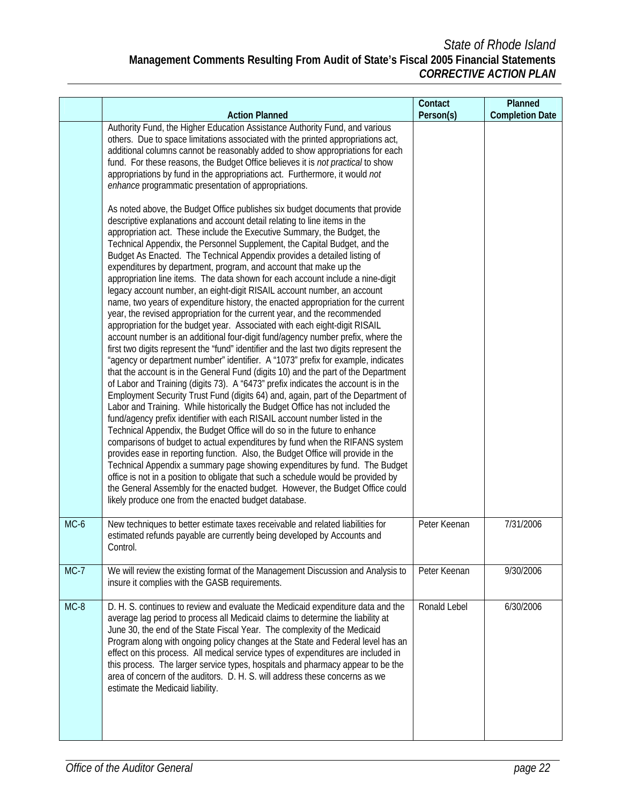|        |                                                                                                                                                                                                                                                                                                                                                                                                                                                                                                                                                                                                                                                                                                                                                                                                                                                                                                                                                                                                                                                                                                                                                                                                                                                                                                                                                                                                                                                                                                                                                                                                                                                                                                                                                                                                                                                                                                                                                                                                                                                                                                                                                                                                                                                                                                                                                                                                                                                                                                                                                                                                                                                      | Contact             | Planned                |
|--------|------------------------------------------------------------------------------------------------------------------------------------------------------------------------------------------------------------------------------------------------------------------------------------------------------------------------------------------------------------------------------------------------------------------------------------------------------------------------------------------------------------------------------------------------------------------------------------------------------------------------------------------------------------------------------------------------------------------------------------------------------------------------------------------------------------------------------------------------------------------------------------------------------------------------------------------------------------------------------------------------------------------------------------------------------------------------------------------------------------------------------------------------------------------------------------------------------------------------------------------------------------------------------------------------------------------------------------------------------------------------------------------------------------------------------------------------------------------------------------------------------------------------------------------------------------------------------------------------------------------------------------------------------------------------------------------------------------------------------------------------------------------------------------------------------------------------------------------------------------------------------------------------------------------------------------------------------------------------------------------------------------------------------------------------------------------------------------------------------------------------------------------------------------------------------------------------------------------------------------------------------------------------------------------------------------------------------------------------------------------------------------------------------------------------------------------------------------------------------------------------------------------------------------------------------------------------------------------------------------------------------------------------------|---------------------|------------------------|
|        | <b>Action Planned</b><br>Authority Fund, the Higher Education Assistance Authority Fund, and various<br>others. Due to space limitations associated with the printed appropriations act,<br>additional columns cannot be reasonably added to show appropriations for each<br>fund. For these reasons, the Budget Office believes it is not practical to show<br>appropriations by fund in the appropriations act. Furthermore, it would not<br>enhance programmatic presentation of appropriations.<br>As noted above, the Budget Office publishes six budget documents that provide<br>descriptive explanations and account detail relating to line items in the<br>appropriation act. These include the Executive Summary, the Budget, the<br>Technical Appendix, the Personnel Supplement, the Capital Budget, and the<br>Budget As Enacted. The Technical Appendix provides a detailed listing of<br>expenditures by department, program, and account that make up the<br>appropriation line items. The data shown for each account include a nine-digit<br>legacy account number, an eight-digit RISAIL account number, an account<br>name, two years of expenditure history, the enacted appropriation for the current<br>year, the revised appropriation for the current year, and the recommended<br>appropriation for the budget year. Associated with each eight-digit RISAIL<br>account number is an additional four-digit fund/agency number prefix, where the<br>first two digits represent the "fund" identifier and the last two digits represent the<br>"agency or department number" identifier. A "1073" prefix for example, indicates<br>that the account is in the General Fund (digits 10) and the part of the Department<br>of Labor and Training (digits 73). A "6473" prefix indicates the account is in the<br>Employment Security Trust Fund (digits 64) and, again, part of the Department of<br>Labor and Training. While historically the Budget Office has not included the<br>fund/agency prefix identifier with each RISAIL account number listed in the<br>Technical Appendix, the Budget Office will do so in the future to enhance<br>comparisons of budget to actual expenditures by fund when the RIFANS system<br>provides ease in reporting function. Also, the Budget Office will provide in the<br>Technical Appendix a summary page showing expenditures by fund. The Budget<br>office is not in a position to obligate that such a schedule would be provided by<br>the General Assembly for the enacted budget. However, the Budget Office could<br>likely produce one from the enacted budget database. | Person(s)           | <b>Completion Date</b> |
| MC-6   | New techniques to better estimate taxes receivable and related liabilities for<br>estimated refunds payable are currently being developed by Accounts and<br>Control.                                                                                                                                                                                                                                                                                                                                                                                                                                                                                                                                                                                                                                                                                                                                                                                                                                                                                                                                                                                                                                                                                                                                                                                                                                                                                                                                                                                                                                                                                                                                                                                                                                                                                                                                                                                                                                                                                                                                                                                                                                                                                                                                                                                                                                                                                                                                                                                                                                                                                | Peter Keenan        | 7/31/2006              |
| $MC-7$ | We will review the existing format of the Management Discussion and Analysis to<br>insure it complies with the GASB requirements.                                                                                                                                                                                                                                                                                                                                                                                                                                                                                                                                                                                                                                                                                                                                                                                                                                                                                                                                                                                                                                                                                                                                                                                                                                                                                                                                                                                                                                                                                                                                                                                                                                                                                                                                                                                                                                                                                                                                                                                                                                                                                                                                                                                                                                                                                                                                                                                                                                                                                                                    | Peter Keenan        | 9/30/2006              |
| $MC-8$ | D. H. S. continues to review and evaluate the Medicaid expenditure data and the<br>average lag period to process all Medicaid claims to determine the liability at<br>June 30, the end of the State Fiscal Year. The complexity of the Medicaid<br>Program along with ongoing policy changes at the State and Federal level has an<br>effect on this process. All medical service types of expenditures are included in<br>this process. The larger service types, hospitals and pharmacy appear to be the<br>area of concern of the auditors. D. H. S. will address these concerns as we<br>estimate the Medicaid liability.                                                                                                                                                                                                                                                                                                                                                                                                                                                                                                                                                                                                                                                                                                                                                                                                                                                                                                                                                                                                                                                                                                                                                                                                                                                                                                                                                                                                                                                                                                                                                                                                                                                                                                                                                                                                                                                                                                                                                                                                                        | <b>Ronald Lebel</b> | 6/30/2006              |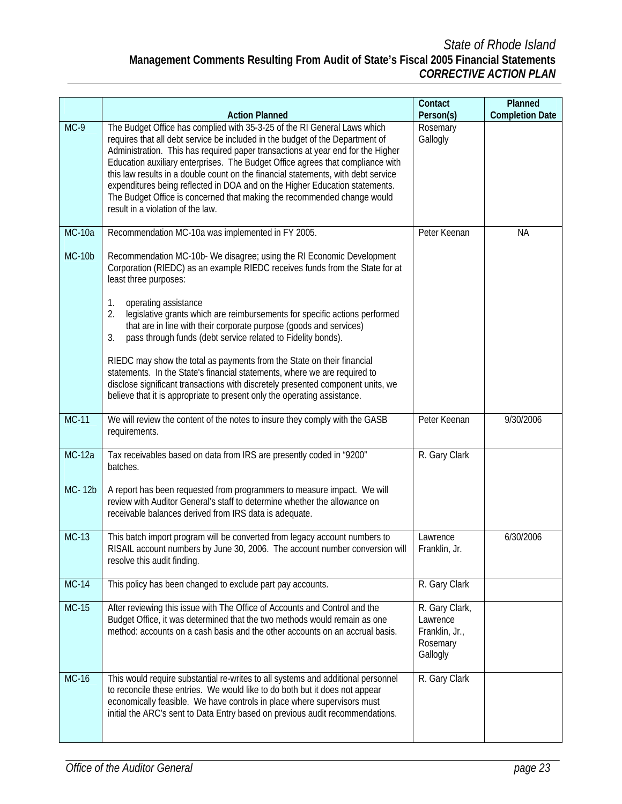|               |                                                                                                                                                                                                                                                                                                                                                                                                                                                                                                                                                                                                                    | Contact                                                              | Planned                |
|---------------|--------------------------------------------------------------------------------------------------------------------------------------------------------------------------------------------------------------------------------------------------------------------------------------------------------------------------------------------------------------------------------------------------------------------------------------------------------------------------------------------------------------------------------------------------------------------------------------------------------------------|----------------------------------------------------------------------|------------------------|
|               | <b>Action Planned</b>                                                                                                                                                                                                                                                                                                                                                                                                                                                                                                                                                                                              | Person(s)                                                            | <b>Completion Date</b> |
| $MC-9$        | The Budget Office has complied with 35-3-25 of the RI General Laws which<br>requires that all debt service be included in the budget of the Department of<br>Administration. This has required paper transactions at year end for the Higher<br>Education auxiliary enterprises. The Budget Office agrees that compliance with<br>this law results in a double count on the financial statements, with debt service<br>expenditures being reflected in DOA and on the Higher Education statements.<br>The Budget Office is concerned that making the recommended change would<br>result in a violation of the law. | Rosemary<br>Gallogly                                                 |                        |
| <b>MC-10a</b> | Recommendation MC-10a was implemented in FY 2005.                                                                                                                                                                                                                                                                                                                                                                                                                                                                                                                                                                  | Peter Keenan                                                         | <b>NA</b>              |
| $MC-10b$      | Recommendation MC-10b- We disagree; using the RI Economic Development<br>Corporation (RIEDC) as an example RIEDC receives funds from the State for at<br>least three purposes:                                                                                                                                                                                                                                                                                                                                                                                                                                     |                                                                      |                        |
|               | operating assistance<br>1.<br>2.<br>legislative grants which are reimbursements for specific actions performed<br>that are in line with their corporate purpose (goods and services)<br>pass through funds (debt service related to Fidelity bonds).<br>3.                                                                                                                                                                                                                                                                                                                                                         |                                                                      |                        |
|               | RIEDC may show the total as payments from the State on their financial<br>statements. In the State's financial statements, where we are required to<br>disclose significant transactions with discretely presented component units, we<br>believe that it is appropriate to present only the operating assistance.                                                                                                                                                                                                                                                                                                 |                                                                      |                        |
| <b>MC-11</b>  | We will review the content of the notes to insure they comply with the GASB<br>requirements.                                                                                                                                                                                                                                                                                                                                                                                                                                                                                                                       | Peter Keenan                                                         | 9/30/2006              |
| <b>MC-12a</b> | Tax receivables based on data from IRS are presently coded in "9200"<br>batches.                                                                                                                                                                                                                                                                                                                                                                                                                                                                                                                                   | R. Gary Clark                                                        |                        |
| MC-12b        | A report has been requested from programmers to measure impact. We will<br>review with Auditor General's staff to determine whether the allowance on<br>receivable balances derived from IRS data is adequate.                                                                                                                                                                                                                                                                                                                                                                                                     |                                                                      |                        |
| $MC-13$       | This batch import program will be converted from legacy account numbers to<br>RISAIL account numbers by June 30, 2006. The account number conversion will<br>resolve this audit finding.                                                                                                                                                                                                                                                                                                                                                                                                                           | Lawrence<br>Franklin, Jr.                                            | 6/30/2006              |
| <b>MC-14</b>  | This policy has been changed to exclude part pay accounts.                                                                                                                                                                                                                                                                                                                                                                                                                                                                                                                                                         | R. Gary Clark                                                        |                        |
| $MC-15$       | After reviewing this issue with The Office of Accounts and Control and the<br>Budget Office, it was determined that the two methods would remain as one<br>method: accounts on a cash basis and the other accounts on an accrual basis.                                                                                                                                                                                                                                                                                                                                                                            | R. Gary Clark,<br>Lawrence<br>Franklin, Jr.,<br>Rosemary<br>Gallogly |                        |
| $MC-16$       | This would require substantial re-writes to all systems and additional personnel<br>to reconcile these entries. We would like to do both but it does not appear<br>economically feasible. We have controls in place where supervisors must<br>initial the ARC's sent to Data Entry based on previous audit recommendations.                                                                                                                                                                                                                                                                                        | R. Gary Clark                                                        |                        |